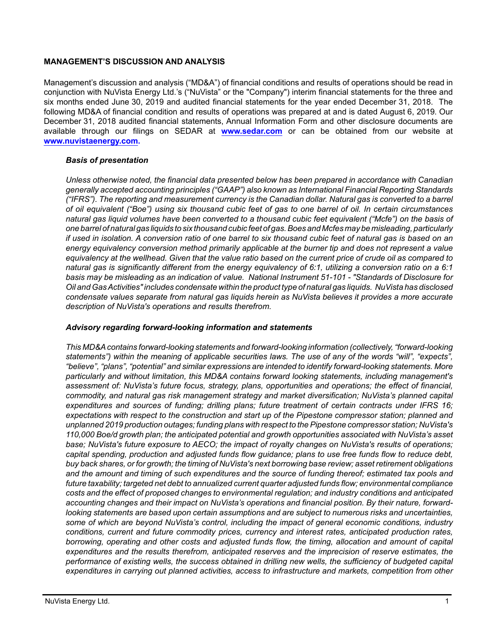## **MANAGEMENT'S DISCUSSION AND ANALYSIS**

Management's discussion and analysis ("MD&A") of financial conditions and results of operations should be read in conjunction with NuVista Energy Ltd.'s ("NuVista" or the "Company") interim financial statements for the three and six months ended June 30, 2019 and audited financial statements for the year ended December 31, 2018. The following MD&A of financial condition and results of operations was prepared at and is dated August 6, 2019. Our December 31, 2018 audited financial statements, Annual Information Form and other disclosure documents are available through our filings on SEDAR at **[www.sedar.com](http://www.sedar.com)** or can be obtained from our website at **[www.nuvistaenergy.com](http://www.nuvistaenergy.com).** 

## *Basis of presentation*

*Unless otherwise noted, the financial data presented below has been prepared in accordance with Canadian generally accepted accounting principles ("GAAP") also known as International Financial Reporting Standards ("IFRS"). The reporting and measurement currency is the Canadian dollar. Natural gas is converted to a barrel of oil equivalent ("Boe") using six thousand cubic feet of gas to one barrel of oil. In certain circumstances natural gas liquid volumes have been converted to a thousand cubic feet equivalent ("Mcfe") on the basis of one barrel of natural gas liquids to six thousand cubic feet of gas. Boes and Mcfes may be misleading, particularly if used in isolation. A conversion ratio of one barrel to six thousand cubic feet of natural gas is based on an energy equivalency conversion method primarily applicable at the burner tip and does not represent a value equivalency at the wellhead. Given that the value ratio based on the current price of crude oil as compared to natural gas is significantly different from the energy equivalency of 6:1, utilizing a conversion ratio on a 6:1 basis may be misleading as an indication of value. National Instrument 51-101 - "Standards of Disclosure for Oil and Gas Activities" includes condensate within the product type of natural gas liquids. NuVista has disclosed condensate values separate from natural gas liquids herein as NuVista believes it provides a more accurate description of NuVista's operations and results therefrom.* 

#### *Advisory regarding forward-looking information and statements*

*This MD&A contains forward-looking statements and forward-looking information (collectively, "forward-looking statements") within the meaning of applicable securities laws. The use of any of the words "will", "expects", "believe", "plans", "potential" and similar expressions are intended to identify forward-looking statements. More particularly and without limitation, this MD&A contains forward looking statements, including management's assessment of: NuVista's future focus, strategy, plans, opportunities and operations; the effect of financial, commodity, and natural gas risk management strategy and market diversification; NuVista's planned capital expenditures and sources of funding; drilling plans; future treatment of certain contracts under IFRS 16; expectations with respect to the construction and start up of the Pipestone compressor station; planned and unplanned 2019 production outages; funding plans with respect to the Pipestone compressor station; NuVista's 110,000 Boe/d growth plan; the anticipated potential and growth opportunities associated with NuVista's asset base; NuVista's future exposure to AECO; the impact of royalty changes on NuVista's results of operations; capital spending, production and adjusted funds flow guidance; plans to use free funds flow to reduce debt, buy back shares, or for growth; the timing of NuVista's next borrowing base review; asset retirement obligations and the amount and timing of such expenditures and the source of funding thereof; estimated tax pools and future taxability; targeted net debt to annualized current quarter adjusted funds flow; environmental compliance costs and the effect of proposed changes to environmental regulation; and industry conditions and anticipated accounting changes and their impact on NuVista's operations and financial position. By their nature, forwardlooking statements are based upon certain assumptions and are subject to numerous risks and uncertainties, some of which are beyond NuVista's control, including the impact of general economic conditions, industry conditions, current and future commodity prices, currency and interest rates, anticipated production rates, borrowing, operating and other costs and adjusted funds flow, the timing, allocation and amount of capital expenditures and the results therefrom, anticipated reserves and the imprecision of reserve estimates, the performance of existing wells, the success obtained in drilling new wells, the sufficiency of budgeted capital expenditures in carrying out planned activities, access to infrastructure and markets, competition from other*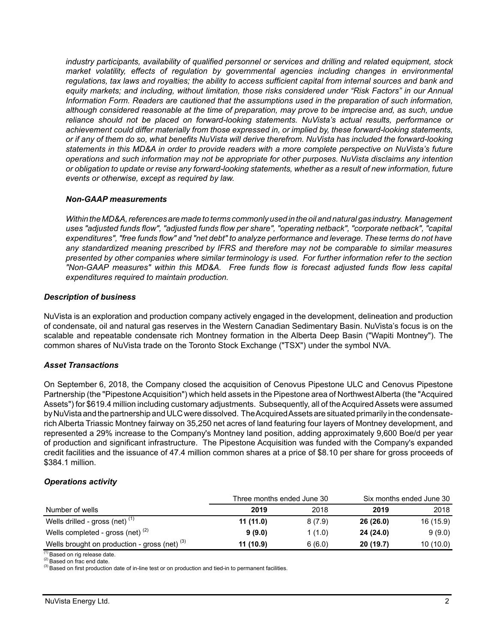*industry participants, availability of qualified personnel or services and drilling and related equipment, stock market volatility, effects of regulation by governmental agencies including changes in environmental regulations, tax laws and royalties; the ability to access sufficient capital from internal sources and bank and equity markets; and including, without limitation, those risks considered under "Risk Factors" in our Annual Information Form. Readers are cautioned that the assumptions used in the preparation of such information, although considered reasonable at the time of preparation, may prove to be imprecise and, as such, undue reliance should not be placed on forward-looking statements. NuVista's actual results, performance or achievement could differ materially from those expressed in, or implied by, these forward-looking statements, or if any of them do so, what benefits NuVista will derive therefrom. NuVista has included the forward-looking statements in this MD&A in order to provide readers with a more complete perspective on NuVista's future operations and such information may not be appropriate for other purposes. NuVista disclaims any intention or obligation to update or revise any forward-looking statements, whether as a result of new information, future events or otherwise, except as required by law.*

#### *Non-GAAP measurements*

*Within the MD&A, references are made to terms commonly used in the oil and natural gas industry. Management uses "adjusted funds flow", "adjusted funds flow per share", "operating netback", "corporate netback", "capital expenditures", "free funds flow" and "net debt" to analyze performance and leverage. These terms do not have any standardized meaning prescribed by IFRS and therefore may not be comparable to similar measures presented by other companies where similar terminology is used. For further information refer to the section "Non-GAAP measures" within this MD&A. Free funds flow is forecast adjusted funds flow less capital expenditures required to maintain production.* 

#### *Description of business*

NuVista is an exploration and production company actively engaged in the development, delineation and production of condensate, oil and natural gas reserves in the Western Canadian Sedimentary Basin. NuVista's focus is on the scalable and repeatable condensate rich Montney formation in the Alberta Deep Basin ("Wapiti Montney"). The common shares of NuVista trade on the Toronto Stock Exchange ("TSX") under the symbol NVA.

## *Asset Transactions*

On September 6, 2018, the Company closed the acquisition of Cenovus Pipestone ULC and Cenovus Pipestone Partnership (the "Pipestone Acquisition") which held assets in the Pipestone area of Northwest Alberta (the "Acquired Assets") for \$619.4 million including customary adjustments. Subsequently, all of the Acquired Assets were assumed by NuVista and the partnership and ULC were dissolved. The Acquired Assets are situated primarily in the condensaterich Alberta Triassic Montney fairway on 35,250 net acres of land featuring four layers of Montney development, and represented a 29% increase to the Company's Montney land position, adding approximately 9,600 Boe/d per year of production and significant infrastructure. The Pipestone Acquisition was funded with the Company's expanded credit facilities and the issuance of 47.4 million common shares at a price of \$8.10 per share for gross proceeds of \$384.1 million.

## *Operations activity*

|                                                 | Three months ended June 30 |        | Six months ended June 30 |           |  |
|-------------------------------------------------|----------------------------|--------|--------------------------|-----------|--|
| Number of wells                                 | 2019                       | 2018   | 2019                     | 2018      |  |
| Wells drilled - gross (net) $(1)$               | 11(11.0)                   | 8(7.9) | 26 (26.0)                | 16 (15.9) |  |
| Wells completed - gross (net) $(2)$             | 9(9.0)                     | 1(1.0) | 24 (24.0)                | 9(9.0)    |  |
| Wells brought on production - gross (net) $(3)$ | 11 (10.9)                  | 6(6.0) | 20(19.7)                 | 10(10.0)  |  |

(1) Based on rig release date. (2) Based on frac end date.

<sup>(3)</sup> Based on first production date of in-line test or on production and tied-in to permanent facilities.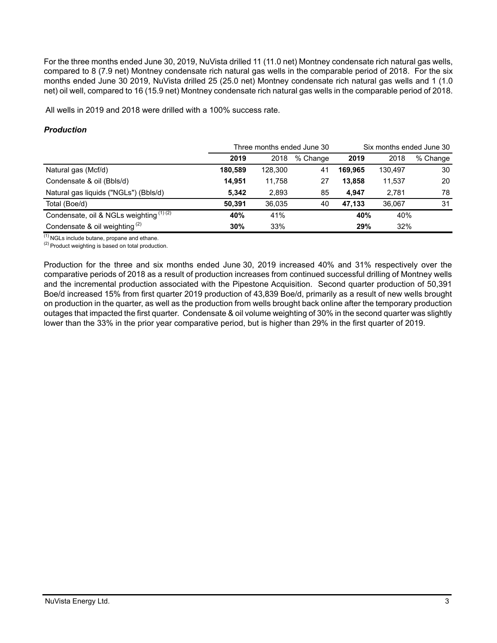For the three months ended June 30, 2019, NuVista drilled 11 (11.0 net) Montney condensate rich natural gas wells, compared to 8 (7.9 net) Montney condensate rich natural gas wells in the comparable period of 2018. For the six months ended June 30 2019, NuVista drilled 25 (25.0 net) Montney condensate rich natural gas wells and 1 (1.0 net) oil well, compared to 16 (15.9 net) Montney condensate rich natural gas wells in the comparable period of 2018.

All wells in 2019 and 2018 were drilled with a 100% success rate.

# *Production*

|                                          |         |         | Three months ended June 30 | Six months ended June 30 |         |          |  |
|------------------------------------------|---------|---------|----------------------------|--------------------------|---------|----------|--|
|                                          | 2019    | 2018    | % Change                   | 2019                     | 2018    | % Change |  |
| Natural gas (Mcf/d)                      | 180,589 | 128,300 | 41                         | 169.965                  | 130.497 | 30       |  |
| Condensate & oil (Bbls/d)                | 14.951  | 11.758  | 27                         | 13.858                   | 11.537  | 20       |  |
| Natural gas liquids ("NGLs") (Bbls/d)    | 5.342   | 2,893   | 85                         | 4.947                    | 2,781   | 78       |  |
| Total (Boe/d)                            | 50.391  | 36.035  | 40                         | 47.133                   | 36.067  | 31       |  |
| Condensate, oil & NGLs weighting (1) (2) | 40%     | 41%     |                            | 40%                      | 40%     |          |  |
| Condensate & oil weighting $(2)$         | 30%     | 33%     |                            | 29%                      | 32%     |          |  |

 $(1)$  NGLs include butane, propane and ethane.

 $(2)$  Product weighting is based on total production.

Production for the three and six months ended June 30, 2019 increased 40% and 31% respectively over the comparative periods of 2018 as a result of production increases from continued successful drilling of Montney wells and the incremental production associated with the Pipestone Acquisition. Second quarter production of 50,391 Boe/d increased 15% from first quarter 2019 production of 43,839 Boe/d, primarily as a result of new wells brought on production in the quarter, as well as the production from wells brought back online after the temporary production outages that impacted the first quarter. Condensate & oil volume weighting of 30% in the second quarter was slightly lower than the 33% in the prior year comparative period, but is higher than 29% in the first quarter of 2019.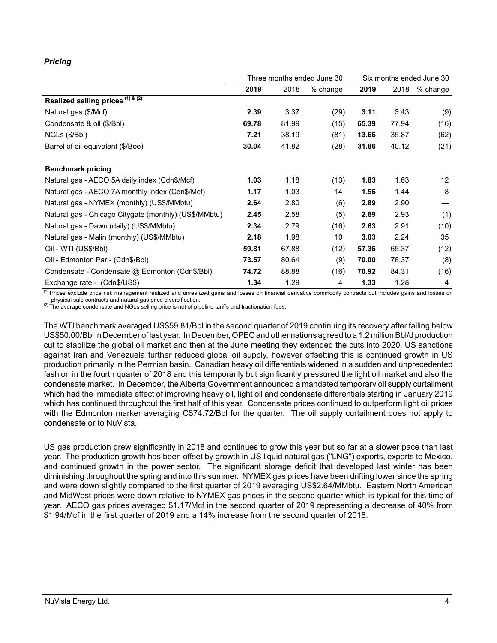# *Pricing*

|                                                       | Three months ended June 30 |       |            |       | Six months ended June 30 |                 |  |
|-------------------------------------------------------|----------------------------|-------|------------|-------|--------------------------|-----------------|--|
|                                                       | 2019                       | 2018  | $%$ change | 2019  | 2018                     | $%$ change      |  |
| Realized selling prices (1) & (2)                     |                            |       |            |       |                          |                 |  |
| Natural gas (\$/Mcf)                                  | 2.39                       | 3.37  | (29)       | 3.11  | 3.43                     | (9)             |  |
| Condensate & oil (\$/Bbl)                             | 69.78                      | 81.99 | (15)       | 65.39 | 77.94                    | (16)            |  |
| NGLs (\$/Bbl)                                         | 7.21                       | 38.19 | (81)       | 13.66 | 35.87                    | (62)            |  |
| Barrel of oil equivalent (\$/Boe)                     | 30.04                      | 41.82 | (28)       | 31.86 | 40.12                    | (21)            |  |
| <b>Benchmark pricing</b>                              |                            |       |            |       |                          |                 |  |
| Natural gas - AECO 5A daily index (Cdn\$/Mcf)         | 1.03                       | 1.18  | (13)       | 1.83  | 1.63                     | 12 <sup>2</sup> |  |
| Natural gas - AECO 7A monthly index (Cdn\$/Mcf)       | 1.17                       | 1.03  | 14         | 1.56  | 1.44                     | 8               |  |
| Natural gas - NYMEX (monthly) (US\$/MMbtu)            | 2.64                       | 2.80  | (6)        | 2.89  | 2.90                     |                 |  |
| Natural gas - Chicago Citygate (monthly) (US\$/MMbtu) | 2.45                       | 2.58  | (5)        | 2.89  | 2.93                     | (1)             |  |
| Natural gas - Dawn (daily) (US\$/MMbtu)               | 2.34                       | 2.79  | (16)       | 2.63  | 2.91                     | (10)            |  |
| Natural gas - Malin (monthly) (US\$/MMbtu)            | 2.18                       | 1.98  | 10         | 3.03  | 2.24                     | 35              |  |
| Oil - WTI (US\$/BbI)                                  | 59.81                      | 67.88 | (12)       | 57.36 | 65.37                    | (12)            |  |
| Oil - Edmonton Par - (Cdn\$/Bbl)                      | 73.57                      | 80.64 | (9)        | 70.00 | 76.37                    | (8)             |  |
| Condensate - Condensate @ Edmonton (Cdn\$/Bbl)        | 74.72                      | 88.88 | (16)       | 70.92 | 84.31                    | (16)            |  |
| Exchange rate - (Cdn\$/US\$)                          | 1.34                       | 1.29  | 4          | 1.33  | 1.28                     | $\overline{4}$  |  |

<sup>(1)</sup> Prices exclude price risk management realized and unrealized gains and losses on financial derivative commodity contracts but includes gains and losses on physical sale contracts and natural gas price diversification.

(2) The average condensate and NGLs selling price is net of pipeline tariffs and fractionation fees.

The WTI benchmark averaged US\$59.81/Bbl in the second quarter of 2019 continuing its recovery after falling below US\$50.00/Bbl in December of last year. In December, OPEC and other nations agreed to a 1.2 million Bbl/d production cut to stabilize the global oil market and then at the June meeting they extended the cuts into 2020. US sanctions against Iran and Venezuela further reduced global oil supply, however offsetting this is continued growth in US production primarily in the Permian basin. Canadian heavy oil differentials widened in a sudden and unprecedented fashion in the fourth quarter of 2018 and this temporarily but significantly pressured the light oil market and also the condensate market. In December, the Alberta Government announced a mandated temporary oil supply curtailment which had the immediate effect of improving heavy oil, light oil and condensate differentials starting in January 2019 which has continued throughout the first half of this year. Condensate prices continued to outperform light oil prices with the Edmonton marker averaging C\$74.72/Bbl for the quarter. The oil supply curtailment does not apply to condensate or to NuVista.

US gas production grew significantly in 2018 and continues to grow this year but so far at a slower pace than last year. The production growth has been offset by growth in US liquid natural gas ("LNG") exports, exports to Mexico, and continued growth in the power sector. The significant storage deficit that developed last winter has been diminishing throughout the spring and into this summer. NYMEX gas prices have been drifting lower since the spring and were down slightly compared to the first quarter of 2019 averaging US\$2.64/MMbtu. Eastern North American and MidWest prices were down relative to NYMEX gas prices in the second quarter which is typical for this time of year. AECO gas prices averaged \$1.17/Mcf in the second quarter of 2019 representing a decrease of 40% from \$1.94/Mcf in the first quarter of 2019 and a 14% increase from the second quarter of 2018.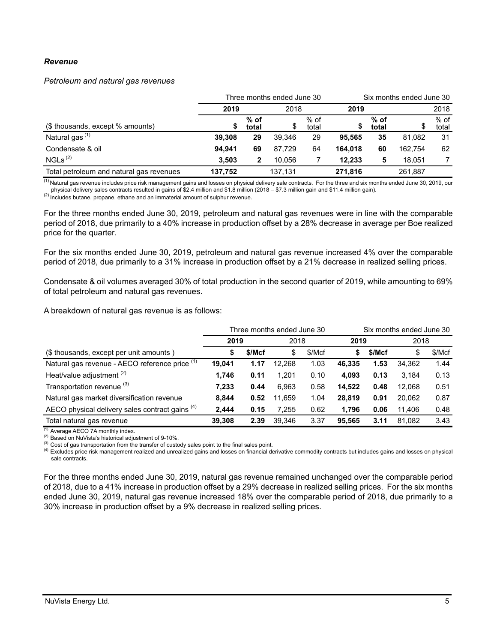#### *Revenue*

*Petroleum and natural gas revenues*

|                                          | Three months ended June 30 |                 |         |                 |         | Six months ended June 30 |         |                 |  |
|------------------------------------------|----------------------------|-----------------|---------|-----------------|---------|--------------------------|---------|-----------------|--|
|                                          | 2019                       |                 |         | 2018<br>2019    |         |                          |         | 2018            |  |
| (\$ thousands, except % amounts)         |                            | $%$ of<br>total | \$      | $%$ of<br>total | จ       | $%$ of<br>total          |         | $%$ of<br>total |  |
| Natural gas <sup>(1)</sup>               | 39.308                     | 29              | 39.346  | 29              | 95.565  | 35                       | 81.082  | 31              |  |
| Condensate & oil                         | 94.941                     | 69              | 87.729  | 64              | 164.018 | 60                       | 162.754 | 62              |  |
| NGLs <sup>(2)</sup>                      | 3.503                      | 2               | 10.056  |                 | 12.233  | 5                        | 18.051  |                 |  |
| Total petroleum and natural gas revenues | 137.752                    |                 | 137.131 |                 | 271,816 |                          | 261.887 |                 |  |

<sup>(1)</sup> Natural gas revenue includes price risk management gains and losses on physical delivery sale contracts. For the three and six months ended June 30, 2019, our physical delivery sales contracts resulted in gains of \$2.4 million and \$1.8 million (2018 – \$7.3 million gain and \$11.4 million gain).

 $(2)$  Includes butane, propane, ethane and an immaterial amount of sulphur revenue.

For the three months ended June 30, 2019, petroleum and natural gas revenues were in line with the comparable period of 2018, due primarily to a 40% increase in production offset by a 28% decrease in average per Boe realized price for the quarter.

For the six months ended June 30, 2019, petroleum and natural gas revenue increased 4% over the comparable period of 2018, due primarily to a 31% increase in production offset by a 21% decrease in realized selling prices.

Condensate & oil volumes averaged 30% of total production in the second quarter of 2019, while amounting to 69% of total petroleum and natural gas revenues.

A breakdown of natural gas revenue is as follows:

|                                                 | Three months ended June 30 |        |        |        | Six months ended June 30 |        |        |        |
|-------------------------------------------------|----------------------------|--------|--------|--------|--------------------------|--------|--------|--------|
|                                                 | 2019                       |        | 2018   |        |                          | 2019   |        | 2018   |
| (\$ thousands, except per unit amounts)         | \$                         | \$/Mcf | \$     | \$/Mcf | S                        | \$/Mcf | \$     | \$/Mcf |
| Natural gas revenue - AECO reference price (1)  | 19,041                     | 1.17   | 12.268 | 1.03   | 46.335                   | 1.53   | 34.362 | 1.44   |
| Heat/value adjustment <sup>(2)</sup>            | 1,746                      | 0.11   | 1.201  | 0.10   | 4.093                    | 0.13   | 3.184  | 0.13   |
| Transportation revenue <sup>(3)</sup>           | 7.233                      | 0.44   | 6.963  | 0.58   | 14.522                   | 0.48   | 12.068 | 0.51   |
| Natural gas market diversification revenue      | 8.844                      | 0.52   | 11.659 | 1.04   | 28.819                   | 0.91   | 20.062 | 0.87   |
| AECO physical delivery sales contract gains (4) | 2,444                      | 0.15   | 7.255  | 0.62   | 1.796                    | 0.06   | 11.406 | 0.48   |
| Total natural gas revenue                       | 39,308                     | 2.39   | 39.346 | 3.37   | 95.565                   | 3.11   | 81.082 | 3.43   |

 $(1)$  Average AECO 7A monthly index.

(2) Based on NuVista's historical adjustment of 9-10%.

<sup>(3)</sup> Cost of gas transportation from the transfer of custody sales point to the final sales point.

<sup>(4)</sup> Excludes price risk management realized and unrealized gains and losses on financial derivative commodity contracts but includes gains and losses on physical sale contracts.

For the three months ended June 30, 2019, natural gas revenue remained unchanged over the comparable period of 2018, due to a 41% increase in production offset by a 29% decrease in realized selling prices. For the six months ended June 30, 2019, natural gas revenue increased 18% over the comparable period of 2018, due primarily to a 30% increase in production offset by a 9% decrease in realized selling prices.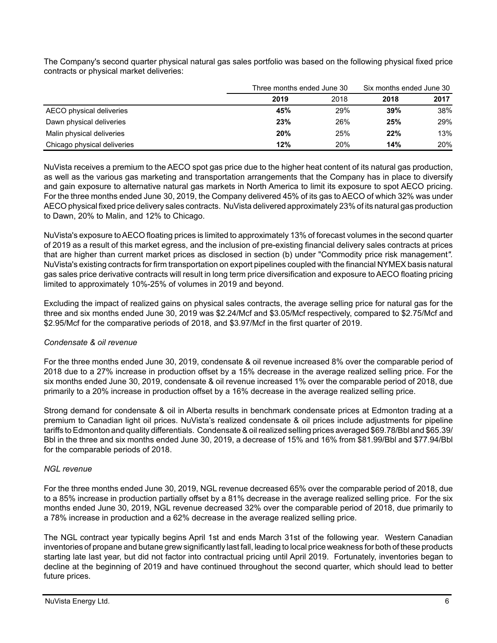The Company's second quarter physical natural gas sales portfolio was based on the following physical fixed price contracts or physical market deliveries:

|                             | Three months ended June 30 |      | Six months ended June 30 |      |
|-----------------------------|----------------------------|------|--------------------------|------|
|                             | 2019                       | 2018 | 2018                     | 2017 |
| AECO physical deliveries    | 45%                        | 29%  | 39%                      | 38%  |
| Dawn physical deliveries    | 23%                        | 26%  | 25%                      | 29%  |
| Malin physical deliveries   | 20%                        | 25%  | 22%                      | 13%  |
| Chicago physical deliveries | 12%                        | 20%  | 14%                      | 20%  |

NuVista receives a premium to the AECO spot gas price due to the higher heat content of its natural gas production, as well as the various gas marketing and transportation arrangements that the Company has in place to diversify and gain exposure to alternative natural gas markets in North America to limit its exposure to spot AECO pricing. For the three months ended June 30, 2019, the Company delivered 45% of its gas to AECO of which 32% was under AECO physical fixed price delivery sales contracts. NuVista delivered approximately 23% of its natural gas production to Dawn, 20% to Malin, and 12% to Chicago.

NuVista's exposure to AECO floating prices is limited to approximately 13% of forecast volumes in the second quarter of 2019 as a result of this market egress, and the inclusion of pre-existing financial delivery sales contracts at prices that are higher than current market prices as disclosed in section (b) under "Commodity price risk management*".* NuVista's existing contracts for firm transportation on export pipelines coupled with the financial NYMEX basis natural gas sales price derivative contracts will result in long term price diversification and exposure to AECO floating pricing limited to approximately 10%-25% of volumes in 2019 and beyond.

Excluding the impact of realized gains on physical sales contracts, the average selling price for natural gas for the three and six months ended June 30, 2019 was \$2.24/Mcf and \$3.05/Mcf respectively, compared to \$2.75/Mcf and \$2.95/Mcf for the comparative periods of 2018, and \$3.97/Mcf in the first quarter of 2019.

# *Condensate & oil revenue*

For the three months ended June 30, 2019, condensate & oil revenue increased 8% over the comparable period of 2018 due to a 27% increase in production offset by a 15% decrease in the average realized selling price. For the six months ended June 30, 2019, condensate & oil revenue increased 1% over the comparable period of 2018, due primarily to a 20% increase in production offset by a 16% decrease in the average realized selling price.

Strong demand for condensate & oil in Alberta results in benchmark condensate prices at Edmonton trading at a premium to Canadian light oil prices. NuVista's realized condensate & oil prices include adjustments for pipeline tariffs to Edmonton and quality differentials. Condensate & oil realized selling prices averaged \$69.78/Bbl and \$65.39/ Bbl in the three and six months ended June 30, 2019, a decrease of 15% and 16% from \$81.99/Bbl and \$77.94/Bbl for the comparable periods of 2018.

## *NGL revenue*

For the three months ended June 30, 2019, NGL revenue decreased 65% over the comparable period of 2018, due to a 85% increase in production partially offset by a 81% decrease in the average realized selling price. For the six months ended June 30, 2019, NGL revenue decreased 32% over the comparable period of 2018, due primarily to a 78% increase in production and a 62% decrease in the average realized selling price.

The NGL contract year typically begins April 1st and ends March 31st of the following year. Western Canadian inventories of propane and butane grew significantly last fall, leading to local price weakness for both of these products starting late last year, but did not factor into contractual pricing until April 2019. Fortunately, inventories began to decline at the beginning of 2019 and have continued throughout the second quarter, which should lead to better future prices.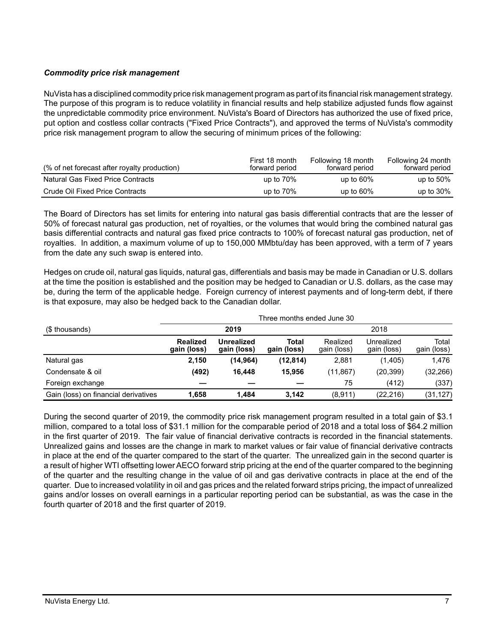# *Commodity price risk management*

NuVista has a disciplined commodity price risk management program as part of its financial risk management strategy. The purpose of this program is to reduce volatility in financial results and help stabilize adjusted funds flow against the unpredictable commodity price environment. NuVista's Board of Directors has authorized the use of fixed price, put option and costless collar contracts ("Fixed Price Contracts"), and approved the terms of NuVista's commodity price risk management program to allow the securing of minimum prices of the following:

| (% of net forecast after royalty production) | First 18 month<br>forward period | Following 18 month<br>forward period | Following 24 month<br>forward period |
|----------------------------------------------|----------------------------------|--------------------------------------|--------------------------------------|
| <b>Natural Gas Fixed Price Contracts</b>     | up to $70\%$                     | up to $60\%$                         | up to $50\%$                         |
| Crude Oil Fixed Price Contracts              | up to $70\%$                     | up to $60\%$                         | up to $30\%$                         |

The Board of Directors has set limits for entering into natural gas basis differential contracts that are the lesser of 50% of forecast natural gas production, net of royalties, or the volumes that would bring the combined natural gas basis differential contracts and natural gas fixed price contracts to 100% of forecast natural gas production, net of royalties. In addition, a maximum volume of up to 150,000 MMbtu/day has been approved, with a term of 7 years from the date any such swap is entered into.

Hedges on crude oil, natural gas liquids, natural gas, differentials and basis may be made in Canadian or U.S. dollars at the time the position is established and the position may be hedged to Canadian or U.S. dollars, as the case may be, during the term of the applicable hedge. Foreign currency of interest payments and of long-term debt, if there is that exposure, may also be hedged back to the Canadian dollar.

|                                      |                                |                                  | Three months ended June 30 |                                                                                                                                                   |  |                      |  |  |  |
|--------------------------------------|--------------------------------|----------------------------------|----------------------------|---------------------------------------------------------------------------------------------------------------------------------------------------|--|----------------------|--|--|--|
| (\$ thousands)                       |                                | 2019                             |                            | 2018<br>Realized<br>Unrealized<br>gain (loss)<br>gain (loss)<br>2.881<br>(1,405)<br>(11, 867)<br>(20, 399)<br>75<br>(412)<br>(22, 216)<br>(8,911) |  |                      |  |  |  |
|                                      | <b>Realized</b><br>gain (loss) | <b>Unrealized</b><br>gain (loss) | Total<br>gain (loss)       |                                                                                                                                                   |  | Total<br>gain (loss) |  |  |  |
| Natural gas                          | 2,150                          | (14,964)                         | (12, 814)                  |                                                                                                                                                   |  | 1.476                |  |  |  |
| Condensate & oil                     | (492)                          | 16.448                           | 15.956                     |                                                                                                                                                   |  | (32, 266)            |  |  |  |
| Foreign exchange                     |                                |                                  |                            |                                                                                                                                                   |  | (337)                |  |  |  |
| Gain (loss) on financial derivatives | 1.658                          | 1.484                            | 3.142                      |                                                                                                                                                   |  | (31, 127)            |  |  |  |

During the second quarter of 2019, the commodity price risk management program resulted in a total gain of \$3.1 million, compared to a total loss of \$31.1 million for the comparable period of 2018 and a total loss of \$64.2 million in the first quarter of 2019. The fair value of financial derivative contracts is recorded in the financial statements. Unrealized gains and losses are the change in mark to market values or fair value of financial derivative contracts in place at the end of the quarter compared to the start of the quarter. The unrealized gain in the second quarter is a result of higher WTI offsetting lower AECO forward strip pricing at the end of the quarter compared to the beginning of the quarter and the resulting change in the value of oil and gas derivative contracts in place at the end of the quarter. Due to increased volatility in oil and gas prices and the related forward strips pricing, the impact of unrealized gains and/or losses on overall earnings in a particular reporting period can be substantial, as was the case in the fourth quarter of 2018 and the first quarter of 2019.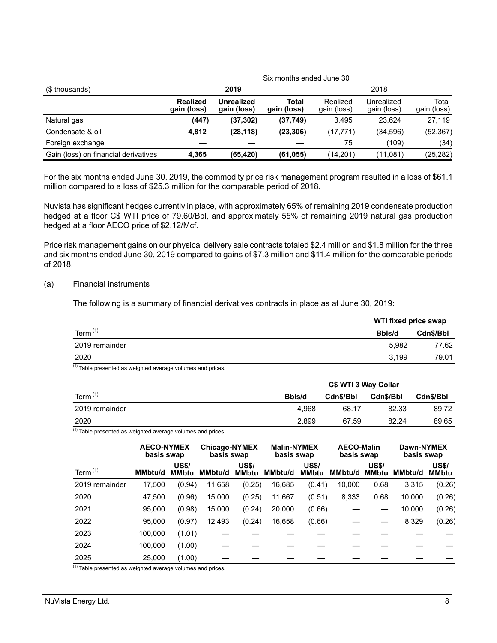|                                      |                         |                           |                      | Six months ended June 30 |                                                                              |                      |  |  |  |
|--------------------------------------|-------------------------|---------------------------|----------------------|--------------------------|------------------------------------------------------------------------------|----------------------|--|--|--|
| (\$ thousands)                       |                         | 2019                      |                      |                          | 2018<br>Unrealized<br>gain (loss)<br>23.624<br>(34,596)<br>(109)<br>(11,081) |                      |  |  |  |
|                                      | Realized<br>gain (loss) | Unrealized<br>gain (loss) | Total<br>gain (loss) | Realized<br>gain (loss)  |                                                                              | Total<br>gain (loss) |  |  |  |
| Natural gas                          | (447)                   | (37, 302)                 | (37,749)             | 3.495                    |                                                                              | 27.119               |  |  |  |
| Condensate & oil                     | 4,812                   | (28, 118)                 | (23, 306)            | (17, 771)                |                                                                              | (52, 367)            |  |  |  |
| Foreign exchange                     |                         |                           |                      | 75                       |                                                                              | (34)                 |  |  |  |
| Gain (loss) on financial derivatives | 4.365                   | (65, 420)                 | (61, 055)            | (14,201)                 |                                                                              | (25, 282)            |  |  |  |

For the six months ended June 30, 2019, the commodity price risk management program resulted in a loss of \$61.1 million compared to a loss of \$25.3 million for the comparable period of 2018.

Nuvista has significant hedges currently in place, with approximately 65% of remaining 2019 condensate production hedged at a floor C\$ WTI price of 79.60/Bbl, and approximately 55% of remaining 2019 natural gas production hedged at a floor AECO price of \$2.12/Mcf.

Price risk management gains on our physical delivery sale contracts totaled \$2.4 million and \$1.8 million for the three and six months ended June 30, 2019 compared to gains of \$7.3 million and \$11.4 million for the comparable periods of 2018.

#### (a) Financial instruments

The following is a summary of financial derivatives contracts in place as at June 30, 2019:

|                | WTI fixed price swap |           |
|----------------|----------------------|-----------|
| Term $(1)$     | Bbls/d               | Cdn\$/Bbl |
| 2019 remainder | 5.982                | 77.62     |
| 2020           | 3.199                | 79.01     |
| 743            |                      |           |

<sup>(1)</sup> Table presented as weighted average volumes and prices.

|                  |        | C\$ WTI 3 Way Collar |           |           |  |  |
|------------------|--------|----------------------|-----------|-----------|--|--|
| Term $(1)$       | Bbls/d | Cdn\$/Bbl            | Cdn\$/Bbl | Cdn\$/Bbl |  |  |
| 2019 remainder   | 4.968  | 68.17                | 82.33     | 89.72     |  |  |
| 2020<br>$\cdots$ | 2.899  | 67.59                | 82.24     | 89.65     |  |  |

 $(1)$  Table presented as weighted average volumes and prices.

|                | <b>AECO-NYMEX</b><br>basis swap |                              | <b>Chicago-NYMEX</b><br>basis swap |                              | <b>Malin-NYMEX</b><br>basis swap |                              | <b>AECO-Malin</b><br>basis swap |                              | Dawn-NYMEX<br>basis swap |                              |
|----------------|---------------------------------|------------------------------|------------------------------------|------------------------------|----------------------------------|------------------------------|---------------------------------|------------------------------|--------------------------|------------------------------|
| Term $(1)$     | <b>MMbtu/d</b>                  | <b>US\$/</b><br><b>MMbtu</b> | <b>MMbtu/d</b>                     | <b>US\$/</b><br><b>MMbtu</b> | <b>MMbtu/d</b>                   | <b>US\$/</b><br><b>MMbtu</b> | MMbtu/d                         | <b>US\$/</b><br><b>MMbtu</b> | <b>MMbtu/d</b>           | <b>US\$/</b><br><b>MMbtu</b> |
| 2019 remainder | 17,500                          | (0.94)                       | 11,658                             | (0.25)                       | 16,685                           | (0.41)                       | 10,000                          | 0.68                         | 3,315                    | (0.26)                       |
| 2020           | 47,500                          | (0.96)                       | 15,000                             | (0.25)                       | 11,667                           | (0.51)                       | 8,333                           | 0.68                         | 10,000                   | (0.26)                       |
| 2021           | 95,000                          | (0.98)                       | 15,000                             | (0.24)                       | 20,000                           | (0.66)                       |                                 |                              | 10,000                   | (0.26)                       |
| 2022           | 95.000                          | (0.97)                       | 12.493                             | (0.24)                       | 16,658                           | (0.66)                       |                                 |                              | 8,329                    | (0.26)                       |
| 2023           | 100.000                         | (1.01)                       |                                    |                              |                                  |                              |                                 |                              |                          |                              |
| 2024           | 100.000                         | (1.00)                       |                                    |                              |                                  |                              |                                 |                              |                          |                              |
| 2025<br>(4)    | 25,000                          | (1.00)                       |                                    |                              |                                  |                              |                                 |                              |                          |                              |

<sup>(1)</sup> Table presented as weighted average volumes and prices.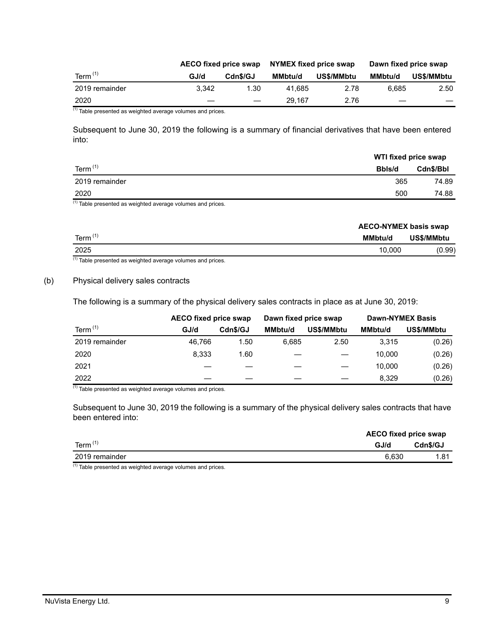|                |       | AECO fixed price swap    | NYMEX fixed price swap |            | Dawn fixed price swap |            |
|----------------|-------|--------------------------|------------------------|------------|-----------------------|------------|
| Term $(1)$     | GJ/d  | Cdn\$/GJ                 | MMbtu/d                | US\$/MMbtu | MMbtu/d               | US\$/MMbtu |
| 2019 remainder | 3.342 | 1.30                     | 41.685                 | 2.78       | 6.685                 | 2.50       |
| 2020           |       | $\overline{\phantom{m}}$ | 29.167                 | 2.76       |                       |            |

(1) Table presented as weighted average volumes and prices.

Subsequent to June 30, 2019 the following is a summary of financial derivatives that have been entered into:

|                | WTI fixed price swap |           |  |
|----------------|----------------------|-----------|--|
| Term $(1)$     | Bbls/d               | Cdn\$/Bbl |  |
| 2019 remainder | 365                  | 74.89     |  |
| 2020           | 500                  | 74.88     |  |

 $(1)$  Table presented as weighted average volumes and prices.

| <b>AECO-NYMEX basis swap</b> |            |
|------------------------------|------------|
| Term $(1)$<br>MMbtu/d        | US\$/MMbtu |
| 2025<br>10.000               | (0.99)     |

 $(1)$  Table presented as weighted average volumes and prices.

#### (b) Physical delivery sales contracts

The following is a summary of the physical delivery sales contracts in place as at June 30, 2019:

|                | <b>AECO fixed price swap</b> | <b>Dawn-NYMEX Basis</b><br>Dawn fixed price swap |                |            |                |            |
|----------------|------------------------------|--------------------------------------------------|----------------|------------|----------------|------------|
| Term $(1)$     | GJ/d                         | Cdn\$/GJ                                         | <b>MMbtu/d</b> | US\$/MMbtu | <b>MMbtu/d</b> | US\$/MMbtu |
| 2019 remainder | 46.766                       | 1.50                                             | 6.685          | 2.50       | 3.315          | (0.26)     |
| 2020           | 8.333                        | 1.60                                             |                |            | 10.000         | (0.26)     |
| 2021           |                              |                                                  |                |            | 10.000         | (0.26)     |
| 2022           |                              |                                                  |                |            | 8.329          | (0.26)     |

 $(1)$  Table presented as weighted average volumes and prices.

Subsequent to June 30, 2019 the following is a summary of the physical delivery sales contracts that have been entered into:

|                | <b>AECO fixed price swap</b> |          |  |
|----------------|------------------------------|----------|--|
| Term $(1)$     | GJ/d                         | Cdn\$/GJ |  |
| 2019 remainder | 6.630                        | 1.81     |  |

 $(1)$  Table presented as weighted average volumes and prices.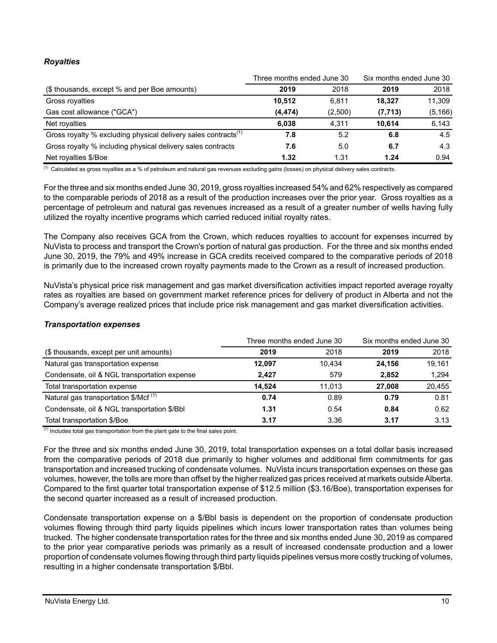# *Royalties*

|                                                                            | Three months ended June 30 |         | Six months ended June 30 |          |
|----------------------------------------------------------------------------|----------------------------|---------|--------------------------|----------|
| (\$ thousands, except % and per Boe amounts)                               | 2019                       | 2018    | 2019                     | 2018     |
| Gross royalties                                                            | 10.512                     | 6.811   | 18.327                   | 11,309   |
| Gas cost allowance ("GCA")                                                 | (4, 474)                   | (2,500) | (7, 713)                 | (5, 166) |
| Net royalties                                                              | 6.038                      | 4,311   | 10.614                   | 6,143    |
| Gross royalty % excluding physical delivery sales contracts <sup>(1)</sup> | 7.8                        | 5.2     | 6.8                      | 4.5      |
| Gross royalty % including physical delivery sales contracts                | 7.6                        | 5.0     | 6.7                      | 4.3      |
| Net royalties \$/Boe                                                       | 1.32                       | 1.31    | 1.24                     | 0.94     |

<sup>(1)</sup> Calculated as gross royalties as a % of petroleum and natural gas revenues excluding gains (losses) on physical delivery sales contracts.

For the three and six months ended June 30, 2019, gross royalties increased 54% and 62% respectively as compared to the comparable periods of 2018 as a result of the production increases over the prior year. Gross royalties as a percentage of petroleum and natural gas revenues increased as a result of a greater number of wells having fully utilized the royalty incentive programs which carried reduced initial royalty rates.

The Company also receives GCA from the Crown, which reduces royalties to account for expenses incurred by NuVista to process and transport the Crown's portion of natural gas production. For the three and six months ended June 30, 2019, the 79% and 49% increase in GCA credits received compared to the comparative periods of 2018 is primarily due to the increased crown royalty payments made to the Crown as a result of increased production.

NuVista's physical price risk management and gas market diversification activities impact reported average royalty rates as royalties are based on government market reference prices for delivery of product in Alberta and not the Company's average realized prices that include price risk management and gas market diversification activities.

## *Transportation expenses*

|                                                  | Three months ended June 30 |        | Six months ended June 30 |        |
|--------------------------------------------------|----------------------------|--------|--------------------------|--------|
| (\$ thousands, except per unit amounts)          | 2019                       | 2018   | 2019                     | 2018   |
| Natural gas transportation expense               | 12.097                     | 10.434 | 24.156                   | 19.161 |
| Condensate, oil & NGL transportation expense     | 2.427                      | 579    | 2.852                    | 1.294  |
| Total transportation expense                     | 14.524                     | 11.013 | 27.008                   | 20,455 |
| Natural gas transportation \$/Mcf <sup>(1)</sup> | 0.74                       | 0.89   | 0.79                     | 0.81   |
| Condensate, oil & NGL transportation \$/Bbl      | 1.31                       | 0.54   | 0.84                     | 0.62   |
| Total transportation \$/Boe                      | 3.17                       | 3.36   | 3.17                     | 3.13   |

 $<sup>(1)</sup>$  Includes total gas transportation from the plant gate to the final sales point.</sup>

For the three and six months ended June 30, 2019, total transportation expenses on a total dollar basis increased from the comparative periods of 2018 due primarily to higher volumes and additional firm commitments for gas transportation and increased trucking of condensate volumes. NuVista incurs transportation expenses on these gas volumes, however, the tolls are more than offset by the higher realized gas prices received at markets outside Alberta. Compared to the first quarter total transportation expense of \$12.5 million (\$3.16/Boe), transportation expenses for the second quarter increased as a result of increased production.

Condensate transportation expense on a \$/Bbl basis is dependent on the proportion of condensate production volumes flowing through third party liquids pipelines which incurs lower transportation rates than volumes being trucked. The higher condensate transportation rates for the three and six months ended June 30, 2019 as compared to the prior year comparative periods was primarily as a result of increased condensate production and a lower proportion of condensate volumes flowing through third party liquids pipelines versus more costly trucking of volumes, resulting in a higher condensate transportation \$/Bbl.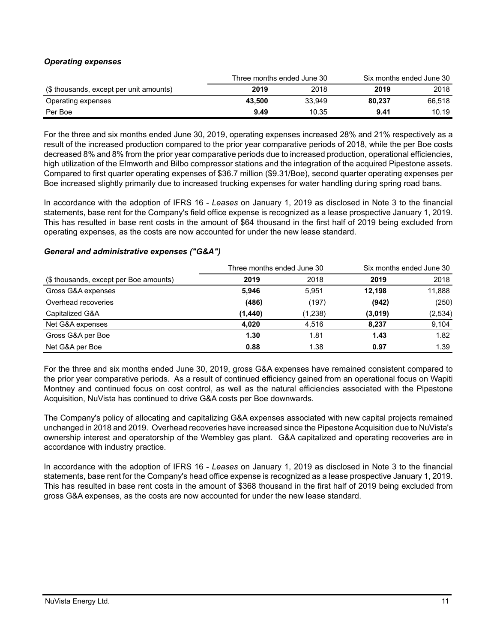# *Operating expenses*

|                                         | Three months ended June 30 |        | Six months ended June 30 |        |  |
|-----------------------------------------|----------------------------|--------|--------------------------|--------|--|
| (\$ thousands, except per unit amounts) | 2019                       | 2018   | 2019                     | 2018   |  |
| Operating expenses                      | 43.500                     | 33.949 | 80.237                   | 66.518 |  |
| Per Boe                                 | 9.49                       | 10.35  | 9.41                     | 10.19  |  |

For the three and six months ended June 30, 2019, operating expenses increased 28% and 21% respectively as a result of the increased production compared to the prior year comparative periods of 2018, while the per Boe costs decreased 8% and 8% from the prior year comparative periods due to increased production, operational efficiencies, high utilization of the Elmworth and Bilbo compressor stations and the integration of the acquired Pipestone assets. Compared to first quarter operating expenses of \$36.7 million (\$9.31/Boe), second quarter operating expenses per Boe increased slightly primarily due to increased trucking expenses for water handling during spring road bans.

In accordance with the adoption of IFRS 16 - *Leases* on January 1, 2019 as disclosed in Note 3 to the financial statements, base rent for the Company's field office expense is recognized as a lease prospective January 1, 2019. This has resulted in base rent costs in the amount of \$64 thousand in the first half of 2019 being excluded from operating expenses, as the costs are now accounted for under the new lease standard.

# *General and administrative expenses ("G&A")*

|                                        | Three months ended June 30 |         | Six months ended June 30 |         |
|----------------------------------------|----------------------------|---------|--------------------------|---------|
| (\$ thousands, except per Boe amounts) | 2019                       | 2018    | 2019                     | 2018    |
| Gross G&A expenses                     | 5.946                      | 5.951   | 12.198                   | 11,888  |
| Overhead recoveries                    | (486)                      | (197)   | (942)                    | (250)   |
| Capitalized G&A                        | (1,440)                    | (1,238) | (3,019)                  | (2,534) |
| Net G&A expenses                       | 4.020                      | 4.516   | 8.237                    | 9.104   |
| Gross G&A per Boe                      | 1.30                       | 1.81    | 1.43                     | 1.82    |
| Net G&A per Boe                        | 0.88                       | 1.38    | 0.97                     | 1.39    |

For the three and six months ended June 30, 2019, gross G&A expenses have remained consistent compared to the prior year comparative periods. As a result of continued efficiency gained from an operational focus on Wapiti Montney and continued focus on cost control, as well as the natural efficiencies associated with the Pipestone Acquisition, NuVista has continued to drive G&A costs per Boe downwards.

The Company's policy of allocating and capitalizing G&A expenses associated with new capital projects remained unchanged in 2018 and 2019. Overhead recoveries have increased since the Pipestone Acquisition due to NuVista's ownership interest and operatorship of the Wembley gas plant. G&A capitalized and operating recoveries are in accordance with industry practice.

In accordance with the adoption of IFRS 16 - *Leases* on January 1, 2019 as disclosed in Note 3 to the financial statements, base rent for the Company's head office expense is recognized as a lease prospective January 1, 2019. This has resulted in base rent costs in the amount of \$368 thousand in the first half of 2019 being excluded from gross G&A expenses, as the costs are now accounted for under the new lease standard.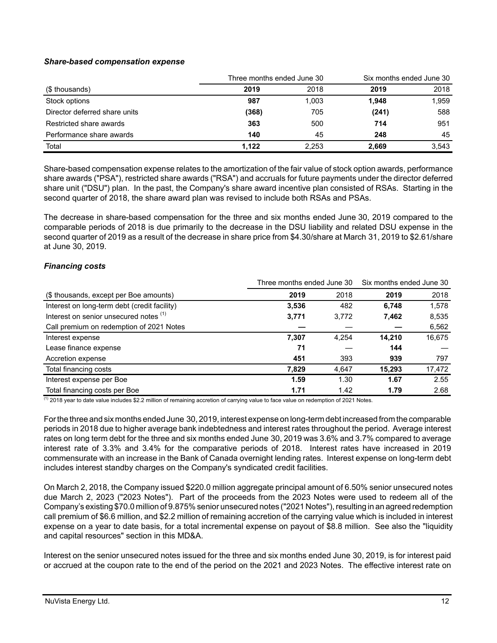# *Share-based compensation expense*

|                               | Three months ended June 30 |       | Six months ended June 30 |       |
|-------------------------------|----------------------------|-------|--------------------------|-------|
| (\$ thousands)                | 2019                       | 2018  | 2019                     | 2018  |
| Stock options                 | 987                        | 1,003 | 1,948                    | 1,959 |
| Director deferred share units | (368)                      | 705   | (241)                    | 588   |
| Restricted share awards       | 363                        | 500   | 714                      | 951   |
| Performance share awards      | 140                        | 45    | 248                      | 45    |
| Total                         | 1.122                      | 2.253 | 2,669                    | 3,543 |

Share-based compensation expense relates to the amortization of the fair value of stock option awards, performance share awards ("PSA"), restricted share awards ("RSA") and accruals for future payments under the director deferred share unit ("DSU") plan. In the past, the Company's share award incentive plan consisted of RSAs. Starting in the second quarter of 2018, the share award plan was revised to include both RSAs and PSAs.

The decrease in share-based compensation for the three and six months ended June 30, 2019 compared to the comparable periods of 2018 is due primarily to the decrease in the DSU liability and related DSU expense in the second quarter of 2019 as a result of the decrease in share price from \$4.30/share at March 31, 2019 to \$2.61/share at June 30, 2019.

## *Financing costs*

|                                              | Three months ended June 30 |       | Six months ended June 30 |        |  |
|----------------------------------------------|----------------------------|-------|--------------------------|--------|--|
| (\$ thousands, except per Boe amounts)       | 2019                       | 2018  | 2019                     | 2018   |  |
| Interest on long-term debt (credit facility) | 3,536                      | 482   | 6,748                    | 1,578  |  |
| Interest on senior unsecured notes (1)       | 3,771                      | 3,772 | 7,462                    | 8,535  |  |
| Call premium on redemption of 2021 Notes     |                            |       |                          | 6,562  |  |
| Interest expense                             | 7,307                      | 4.254 | 14,210                   | 16,675 |  |
| Lease finance expense                        | 71                         |       | 144                      |        |  |
| Accretion expense                            | 451                        | 393   | 939                      | 797    |  |
| Total financing costs                        | 7,829                      | 4,647 | 15,293                   | 17,472 |  |
| Interest expense per Boe                     | 1.59                       | 1.30  | 1.67                     | 2.55   |  |
| Total financing costs per Boe                | 1.71                       | 1.42  | 1.79                     | 2.68   |  |

 $\frac{(1)}{(1)}$  2018 year to date value includes \$2.2 million of remaining accretion of carrying value to face value on redemption of 2021 Notes.

For the three and six months ended June 30, 2019, interest expense on long-term debt increased from the comparable periods in 2018 due to higher average bank indebtedness and interest rates throughout the period. Average interest rates on long term debt for the three and six months ended June 30, 2019 was 3.6% and 3.7% compared to average interest rate of 3.3% and 3.4% for the comparative periods of 2018. Interest rates have increased in 2019 commensurate with an increase in the Bank of Canada overnight lending rates. Interest expense on long-term debt includes interest standby charges on the Company's syndicated credit facilities.

On March 2, 2018, the Company issued \$220.0 million aggregate principal amount of 6.50% senior unsecured notes due March 2, 2023 ("2023 Notes"). Part of the proceeds from the 2023 Notes were used to redeem all of the Company's existing \$70.0 million of 9.875% senior unsecured notes ("2021 Notes"), resulting in an agreed redemption call premium of \$6.6 million, and \$2.2 million of remaining accretion of the carrying value which is included in interest expense on a year to date basis, for a total incremental expense on payout of \$8.8 million. See also the "liquidity and capital resources" section in this MD&A.

Interest on the senior unsecured notes issued for the three and six months ended June 30, 2019, is for interest paid or accrued at the coupon rate to the end of the period on the 2021 and 2023 Notes. The effective interest rate on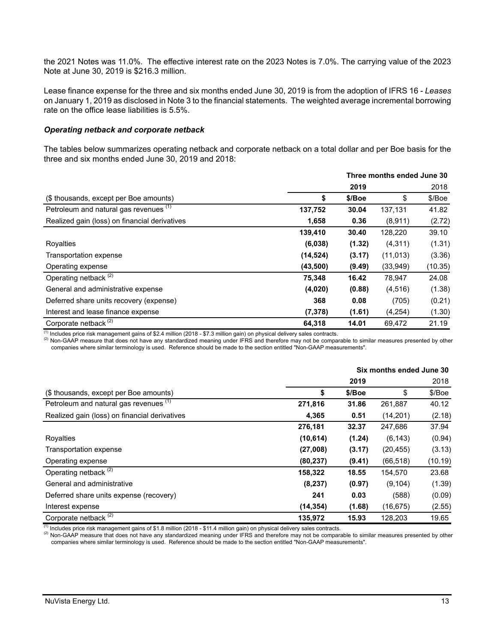the 2021 Notes was 11.0%. The effective interest rate on the 2023 Notes is 7.0%. The carrying value of the 2023 Note at June 30, 2019 is \$216.3 million.

Lease finance expense for the three and six months ended June 30, 2019 is from the adoption of IFRS 16 - *Leases* on January 1, 2019 as disclosed in Note 3 to the financial statements. The weighted average incremental borrowing rate on the office lease liabilities is 5.5%.

#### *Operating netback and corporate netback*

The tables below summarizes operating netback and corporate netback on a total dollar and per Boe basis for the three and six months ended June 30, 2019 and 2018:

|                                               |           | Three months ended June 30 |           |         |
|-----------------------------------------------|-----------|----------------------------|-----------|---------|
|                                               |           | 2019                       |           | 2018    |
| (\$ thousands, except per Boe amounts)        | S         | \$/Boe                     | \$        | \$/Boe  |
| Petroleum and natural gas revenues (1)        | 137,752   | 30.04                      | 137,131   | 41.82   |
| Realized gain (loss) on financial derivatives | 1,658     | 0.36                       | (8,911)   | (2.72)  |
|                                               | 139,410   | 30.40                      | 128,220   | 39.10   |
| Royalties                                     | (6,038)   | (1.32)                     | (4, 311)  | (1.31)  |
| Transportation expense                        | (14, 524) | (3.17)                     | (11, 013) | (3.36)  |
| Operating expense                             | (43,500)  | (9.49)                     | (33,949)  | (10.35) |
| Operating netback <sup>(2)</sup>              | 75,348    | 16.42                      | 78,947    | 24.08   |
| General and administrative expense            | (4,020)   | (0.88)                     | (4, 516)  | (1.38)  |
| Deferred share units recovery (expense)       | 368       | 0.08                       | (705)     | (0.21)  |
| Interest and lease finance expense            | (7, 378)  | (1.61)                     | (4,254)   | (1.30)  |
| Corporate netback <sup>(2)</sup>              | 64,318    | 14.01                      | 69.472    | 21.19   |

 $\frac{(1)}{(1)}$  Includes price risk management gains of \$2.4 million (2018 - \$7.3 million gain) on physical delivery sales contracts.

(2) Non-GAAP measure that does not have any standardized meaning under IFRS and therefore may not be comparable to similar measures presented by other companies where similar terminology is used. Reference should be made to the section entitled "Non-GAAP measurements".

|                                               | Six months ended June 30 |        |           |         |  |
|-----------------------------------------------|--------------------------|--------|-----------|---------|--|
|                                               |                          | 2019   |           | 2018    |  |
| (\$ thousands, except per Boe amounts)        | \$                       | \$/Boe | \$        | \$/Boe  |  |
| Petroleum and natural gas revenues (1)        | 271,816                  | 31.86  | 261,887   | 40.12   |  |
| Realized gain (loss) on financial derivatives | 4,365                    | 0.51   | (14,201)  | (2.18)  |  |
|                                               | 276,181                  | 32.37  | 247,686   | 37.94   |  |
| Royalties                                     | (10, 614)                | (1.24) | (6, 143)  | (0.94)  |  |
| Transportation expense                        | (27,008)                 | (3.17) | (20, 455) | (3.13)  |  |
| Operating expense                             | (80, 237)                | (9.41) | (66, 518) | (10.19) |  |
| Operating netback <sup>(2)</sup>              | 158,322                  | 18.55  | 154,570   | 23.68   |  |
| General and administrative                    | (8, 237)                 | (0.97) | (9, 104)  | (1.39)  |  |
| Deferred share units expense (recovery)       | 241                      | 0.03   | (588)     | (0.09)  |  |
| Interest expense                              | (14, 354)                | (1.68) | (16, 675) | (2.55)  |  |
| Corporate netback <sup>(2)</sup>              | 135,972                  | 15.93  | 128,203   | 19.65   |  |

 $\overline{^{(1)}}$  Includes price risk management gains of \$1.8 million (2018 - \$11.4 million gain) on physical delivery sales contracts.

(2) Non-GAAP measure that does not have any standardized meaning under IFRS and therefore may not be comparable to similar measures presented by other companies where similar terminology is used. Reference should be made to the section entitled "Non-GAAP measurements".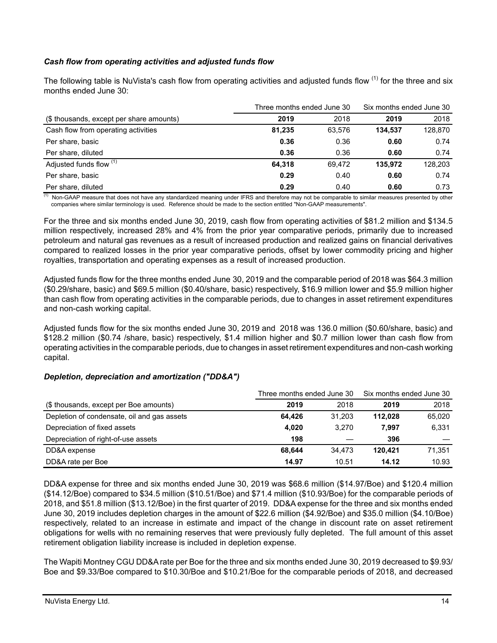# *Cash flow from operating activities and adjusted funds flow*

The following table is NuVista's cash flow from operating activities and adjusted funds flow <sup>(1)</sup> for the three and six months ended June 30:

|                                          | Three months ended June 30 | Six months ended June 30 |         |         |
|------------------------------------------|----------------------------|--------------------------|---------|---------|
| (\$ thousands, except per share amounts) | 2019                       | 2018                     | 2019    | 2018    |
| Cash flow from operating activities      | 81,235                     | 63.576                   | 134.537 | 128,870 |
| Per share, basic                         | 0.36                       | 0.36                     | 0.60    | 0.74    |
| Per share, diluted                       | 0.36                       | 0.36                     | 0.60    | 0.74    |
| Adjusted funds flow (1)                  | 64,318                     | 69.472                   | 135.972 | 128.203 |
| Per share, basic                         | 0.29                       | 0.40                     | 0.60    | 0.74    |
| Per share, diluted                       | 0.29                       | 0.40                     | 0.60    | 0.73    |

 $<sup>(1)</sup>$  Non-GAAP measure that does not have any standardized meaning under IFRS and therefore may not be comparable to similar measures presented by other</sup> companies where similar terminology is used. Reference should be made to the section entitled "Non-GAAP measurements".

For the three and six months ended June 30, 2019, cash flow from operating activities of \$81.2 million and \$134.5 million respectively, increased 28% and 4% from the prior year comparative periods, primarily due to increased petroleum and natural gas revenues as a result of increased production and realized gains on financial derivatives compared to realized losses in the prior year comparative periods, offset by lower commodity pricing and higher royalties, transportation and operating expenses as a result of increased production.

Adjusted funds flow for the three months ended June 30, 2019 and the comparable period of 2018 was \$64.3 million (\$0.29/share, basic) and \$69.5 million (\$0.40/share, basic) respectively, \$16.9 million lower and \$5.9 million higher than cash flow from operating activities in the comparable periods, due to changes in asset retirement expenditures and non-cash working capital.

Adjusted funds flow for the six months ended June 30, 2019 and 2018 was 136.0 million (\$0.60/share, basic) and \$128.2 million (\$0.74 /share, basic) respectively, \$1.4 million higher and \$0.7 million lower than cash flow from operating activities in the comparable periods, due to changes in asset retirement expenditures and non-cash working capital.

## *Depletion, depreciation and amortization ("DD&A")*

|                                             | Three months ended June 30 | Six months ended June 30 |         |        |
|---------------------------------------------|----------------------------|--------------------------|---------|--------|
| (\$ thousands, except per Boe amounts)      | 2019                       | 2018                     | 2019    | 2018   |
| Depletion of condensate, oil and gas assets | 64.426                     | 31.203                   | 112.028 | 65,020 |
| Depreciation of fixed assets                | 4.020                      | 3.270                    | 7.997   | 6,331  |
| Depreciation of right-of-use assets         | 198                        |                          | 396     |        |
| DD&A expense                                | 68.644                     | 34.473                   | 120.421 | 71,351 |
| DD&A rate per Boe                           | 14.97                      | 10.51                    | 14.12   | 10.93  |

DD&A expense for three and six months ended June 30, 2019 was \$68.6 million (\$14.97/Boe) and \$120.4 million (\$14.12/Boe) compared to \$34.5 million (\$10.51/Boe) and \$71.4 million (\$10.93/Boe) for the comparable periods of 2018, and \$51.8 million (\$13.12/Boe) in the first quarter of 2019. DD&A expense for the three and six months ended June 30, 2019 includes depletion charges in the amount of \$22.6 million (\$4.92/Boe) and \$35.0 million (\$4.10/Boe) respectively, related to an increase in estimate and impact of the change in discount rate on asset retirement obligations for wells with no remaining reserves that were previously fully depleted. The full amount of this asset retirement obligation liability increase is included in depletion expense.

The Wapiti Montney CGU DD&A rate per Boe for the three and six months ended June 30, 2019 decreased to \$9.93/ Boe and \$9.33/Boe compared to \$10.30/Boe and \$10.21/Boe for the comparable periods of 2018, and decreased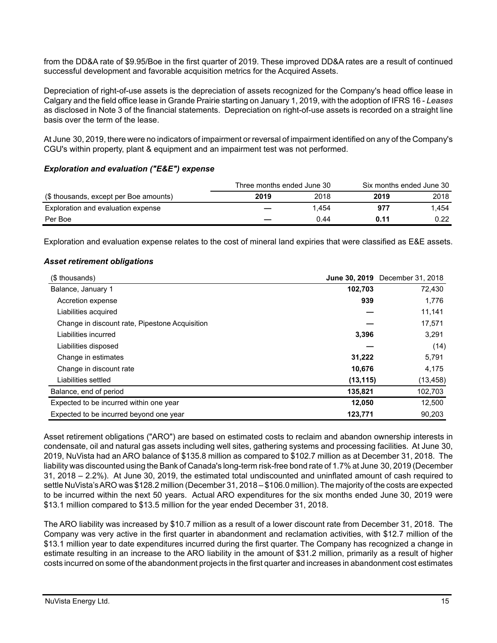from the DD&A rate of \$9.95/Boe in the first quarter of 2019. These improved DD&A rates are a result of continued successful development and favorable acquisition metrics for the Acquired Assets.

Depreciation of right-of-use assets is the depreciation of assets recognized for the Company's head office lease in Calgary and the field office lease in Grande Prairie starting on January 1, 2019, with the adoption of IFRS 16 - *Leases* as disclosed in Note 3 of the financial statements. Depreciation on right-of-use assets is recorded on a straight line basis over the term of the lease.

At June 30, 2019, there were no indicators of impairment or reversal of impairment identified on any of the Company's CGU's within property, plant & equipment and an impairment test was not performed.

#### *Exploration and evaluation ("E&E") expense*

|                                        | Three months ended June 30 |       | Six months ended June 30 |       |
|----------------------------------------|----------------------------|-------|--------------------------|-------|
| (\$ thousands, except per Boe amounts) | 2019                       | 2018  | 2019                     | 2018  |
| Exploration and evaluation expense     |                            | 1.454 | 977                      | 1.454 |
| Per Boe                                |                            | 0.44  | 0.11                     | 0.22  |

Exploration and evaluation expense relates to the cost of mineral land expiries that were classified as E&E assets.

## *Asset retirement obligations*

| (\$ thousands)                                 |           | <b>June 30, 2019</b> December 31, 2018 |
|------------------------------------------------|-----------|----------------------------------------|
| Balance, January 1                             | 102,703   | 72,430                                 |
| Accretion expense                              | 939       | 1,776                                  |
| Liabilities acquired                           |           | 11,141                                 |
| Change in discount rate, Pipestone Acquisition |           | 17,571                                 |
| Liabilities incurred                           | 3,396     | 3,291                                  |
| Liabilities disposed                           |           | (14)                                   |
| Change in estimates                            | 31,222    | 5,791                                  |
| Change in discount rate                        | 10,676    | 4,175                                  |
| Liabilities settled                            | (13, 115) | (13, 458)                              |
| Balance, end of period                         | 135,821   | 102,703                                |
| Expected to be incurred within one year        | 12.050    | 12,500                                 |
| Expected to be incurred beyond one year        | 123,771   | 90,203                                 |

Asset retirement obligations ("ARO") are based on estimated costs to reclaim and abandon ownership interests in condensate, oil and natural gas assets including well sites, gathering systems and processing facilities. At June 30, 2019, NuVista had an ARO balance of \$135.8 million as compared to \$102.7 million as at December 31, 2018. The liability was discounted using the Bank of Canada's long-term risk-free bond rate of 1.7% at June 30, 2019 (December 31, 2018 – 2.2%). At June 30, 2019, the estimated total undiscounted and uninflated amount of cash required to settle NuVista's ARO was \$128.2 million (December 31, 2018 – \$106.0 million). The majority of the costs are expected to be incurred within the next 50 years. Actual ARO expenditures for the six months ended June 30, 2019 were \$13.1 million compared to \$13.5 million for the year ended December 31, 2018.

The ARO liability was increased by \$10.7 million as a result of a lower discount rate from December 31, 2018. The Company was very active in the first quarter in abandonment and reclamation activities, with \$12.7 million of the \$13.1 million year to date expenditures incurred during the first quarter. The Company has recognized a change in estimate resulting in an increase to the ARO liability in the amount of \$31.2 million, primarily as a result of higher costs incurred on some of the abandonment projects in the first quarter and increases in abandonment cost estimates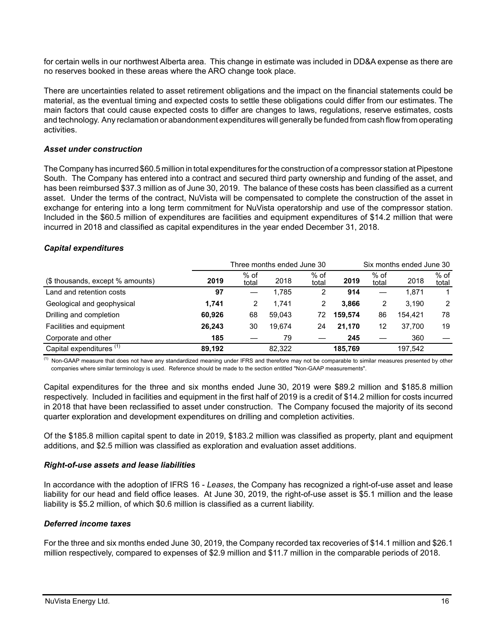for certain wells in our northwest Alberta area. This change in estimate was included in DD&A expense as there are no reserves booked in these areas where the ARO change took place.

There are uncertainties related to asset retirement obligations and the impact on the financial statements could be material, as the eventual timing and expected costs to settle these obligations could differ from our estimates. The main factors that could cause expected costs to differ are changes to laws, regulations, reserve estimates, costs and technology. Any reclamation or abandonment expenditures will generally be funded from cash flow from operating activities.

#### *Asset under construction*

The Company has incurred \$60.5 million in total expenditures for the construction of a compressor station at Pipestone South. The Company has entered into a contract and secured third party ownership and funding of the asset, and has been reimbursed \$37.3 million as of June 30, 2019. The balance of these costs has been classified as a current asset. Under the terms of the contract, NuVista will be compensated to complete the construction of the asset in exchange for entering into a long term commitment for NuVista operatorship and use of the compressor station. Included in the \$60.5 million of expenditures are facilities and equipment expenditures of \$14.2 million that were incurred in 2018 and classified as capital expenditures in the year ended December 31, 2018.

#### *Capital expenditures*

|                                     | Three months ended June 30<br>Six months ended June 30 |               |        |                 |         |                 |         |               |
|-------------------------------------|--------------------------------------------------------|---------------|--------|-----------------|---------|-----------------|---------|---------------|
| (\$ thousands, except % amounts)    | 2019                                                   | % of<br>total | 2018   | $%$ of<br>total | 2019    | $%$ of<br>total | 2018    | % of<br>total |
| Land and retention costs            | 97                                                     |               | 1.785  | 2               | 914     |                 | 1.871   |               |
| Geological and geophysical          | 1,741                                                  | 2             | 1.741  |                 | 3.866   | 2               | 3.190   | 2             |
| Drilling and completion             | 60.926                                                 | 68            | 59.043 | 72              | 159.574 | 86              | 154.421 | 78            |
| Facilities and equipment            | 26,243                                                 | 30            | 19.674 | 24              | 21.170  | 12              | 37.700  | 19            |
| Corporate and other                 | 185                                                    |               | 79     |                 | 245     |                 | 360     |               |
| Capital expenditures <sup>(1)</sup> | 89.192                                                 |               | 82.322 |                 | 185,769 |                 | 197,542 |               |

<sup>(1)</sup> Non-GAAP measure that does not have any standardized meaning under IFRS and therefore may not be comparable to similar measures presented by other companies where similar terminology is used. Reference should be made to the section entitled "Non-GAAP measurements".

Capital expenditures for the three and six months ended June 30, 2019 were \$89.2 million and \$185.8 million respectively. Included in facilities and equipment in the first half of 2019 is a credit of \$14.2 million for costs incurred in 2018 that have been reclassified to asset under construction. The Company focused the majority of its second quarter exploration and development expenditures on drilling and completion activities.

Of the \$185.8 million capital spent to date in 2019, \$183.2 million was classified as property, plant and equipment additions, and \$2.5 million was classified as exploration and evaluation asset additions.

#### *Right-of-use assets and lease liabilities*

In accordance with the adoption of IFRS 16 - *Leases*, the Company has recognized a right-of-use asset and lease liability for our head and field office leases. At June 30, 2019, the right-of-use asset is \$5.1 million and the lease liability is \$5.2 million, of which \$0.6 million is classified as a current liability.

## *Deferred income taxes*

For the three and six months ended June 30, 2019, the Company recorded tax recoveries of \$14.1 million and \$26.1 million respectively, compared to expenses of \$2.9 million and \$11.7 million in the comparable periods of 2018.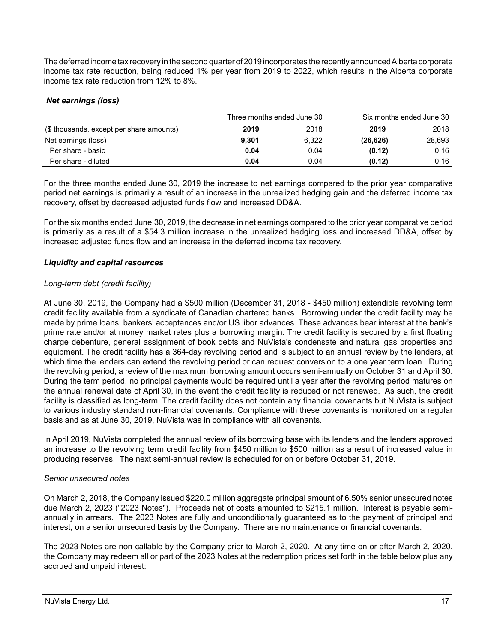The deferred income tax recovery in the second quarter of 2019 incorporates the recently announced Alberta corporate income tax rate reduction, being reduced 1% per year from 2019 to 2022, which results in the Alberta corporate income tax rate reduction from 12% to 8%.

# *Net earnings (loss)*

|                                          | Three months ended June 30 |       | Six months ended June 30 |        |  |
|------------------------------------------|----------------------------|-------|--------------------------|--------|--|
| (\$ thousands, except per share amounts) | 2019                       | 2018  | 2019                     | 2018   |  |
| Net earnings (loss)                      | 9.301                      | 6,322 | (26, 626)                | 28,693 |  |
| Per share - basic                        | 0.04                       | 0.04  | (0.12)                   | 0.16   |  |
| Per share - diluted                      | 0.04                       | 0.04  | (0.12)                   | 0.16   |  |

For the three months ended June 30, 2019 the increase to net earnings compared to the prior year comparative period net earnings is primarily a result of an increase in the unrealized hedging gain and the deferred income tax recovery, offset by decreased adjusted funds flow and increased DD&A.

For the six months ended June 30, 2019, the decrease in net earnings compared to the prior year comparative period is primarily as a result of a \$54.3 million increase in the unrealized hedging loss and increased DD&A, offset by increased adjusted funds flow and an increase in the deferred income tax recovery.

## *Liquidity and capital resources*

## *Long-term debt (credit facility)*

At June 30, 2019, the Company had a \$500 million (December 31, 2018 - \$450 million) extendible revolving term credit facility available from a syndicate of Canadian chartered banks. Borrowing under the credit facility may be made by prime loans, bankers' acceptances and/or US libor advances. These advances bear interest at the bank's prime rate and/or at money market rates plus a borrowing margin. The credit facility is secured by a first floating charge debenture, general assignment of book debts and NuVista's condensate and natural gas properties and equipment. The credit facility has a 364-day revolving period and is subject to an annual review by the lenders, at which time the lenders can extend the revolving period or can request conversion to a one year term loan. During the revolving period, a review of the maximum borrowing amount occurs semi-annually on October 31 and April 30. During the term period, no principal payments would be required until a year after the revolving period matures on the annual renewal date of April 30, in the event the credit facility is reduced or not renewed. As such, the credit facility is classified as long-term. The credit facility does not contain any financial covenants but NuVista is subject to various industry standard non-financial covenants. Compliance with these covenants is monitored on a regular basis and as at June 30, 2019, NuVista was in compliance with all covenants.

In April 2019, NuVista completed the annual review of its borrowing base with its lenders and the lenders approved an increase to the revolving term credit facility from \$450 million to \$500 million as a result of increased value in producing reserves. The next semi-annual review is scheduled for on or before October 31, 2019.

## *Senior unsecured notes*

On March 2, 2018, the Company issued \$220.0 million aggregate principal amount of 6.50% senior unsecured notes due March 2, 2023 ("2023 Notes"). Proceeds net of costs amounted to \$215.1 million. Interest is payable semiannually in arrears. The 2023 Notes are fully and unconditionally guaranteed as to the payment of principal and interest, on a senior unsecured basis by the Company. There are no maintenance or financial covenants.

The 2023 Notes are non-callable by the Company prior to March 2, 2020. At any time on or after March 2, 2020, the Company may redeem all or part of the 2023 Notes at the redemption prices set forth in the table below plus any accrued and unpaid interest: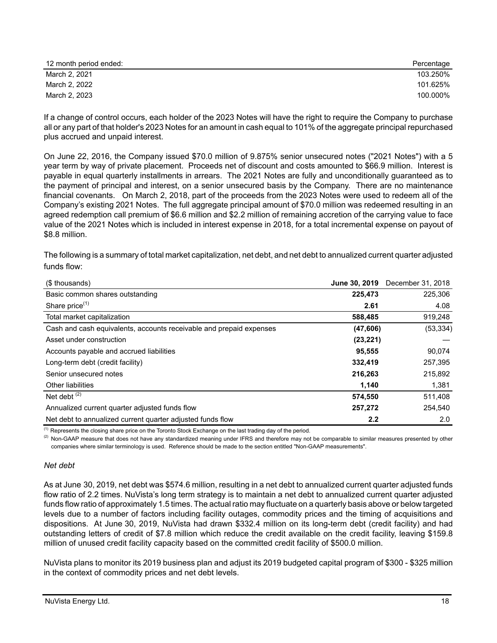| 12 month period ended: | Percentage |
|------------------------|------------|
| March 2, 2021          | 103.250%   |
| March 2, 2022          | 101.625%   |
| March 2, 2023          | 100.000%   |

If a change of control occurs, each holder of the 2023 Notes will have the right to require the Company to purchase all or any part of that holder's 2023 Notes for an amount in cash equal to 101% of the aggregate principal repurchased plus accrued and unpaid interest.

On June 22, 2016, the Company issued \$70.0 million of 9.875% senior unsecured notes ("2021 Notes") with a 5 year term by way of private placement. Proceeds net of discount and costs amounted to \$66.9 million. Interest is payable in equal quarterly installments in arrears. The 2021 Notes are fully and unconditionally guaranteed as to the payment of principal and interest, on a senior unsecured basis by the Company. There are no maintenance financial covenants. On March 2, 2018, part of the proceeds from the 2023 Notes were used to redeem all of the Company's existing 2021 Notes. The full aggregate principal amount of \$70.0 million was redeemed resulting in an agreed redemption call premium of \$6.6 million and \$2.2 million of remaining accretion of the carrying value to face value of the 2021 Notes which is included in interest expense in 2018, for a total incremental expense on payout of \$8.8 million.

The following is a summary of total market capitalization, net debt, and net debt to annualized current quarter adjusted funds flow:

| (\$ thousands)                                                      | June 30, 2019 | December 31, 2018 |
|---------------------------------------------------------------------|---------------|-------------------|
| Basic common shares outstanding                                     | 225,473       | 225,306           |
| Share price <sup>(1)</sup>                                          | 2.61          | 4.08              |
| Total market capitalization                                         | 588,485       | 919,248           |
| Cash and cash equivalents, accounts receivable and prepaid expenses | (47, 606)     | (53, 334)         |
| Asset under construction                                            | (23, 221)     |                   |
| Accounts payable and accrued liabilities                            | 95,555        | 90,074            |
| Long-term debt (credit facility)                                    | 332,419       | 257,395           |
| Senior unsecured notes                                              | 216,263       | 215,892           |
| <b>Other liabilities</b>                                            | 1,140         | 1,381             |
| Net debt $(2)$                                                      | 574,550       | 511,408           |
| Annualized current quarter adjusted funds flow                      | 257,272       | 254,540           |
| Net debt to annualized current quarter adjusted funds flow          | 2.2           | 2.0               |

 $<sup>(1)</sup>$  Represents the closing share price on the Toronto Stock Exchange on the last trading day of the period.</sup>

<sup>(2)</sup> Non-GAAP measure that does not have any standardized meaning under IFRS and therefore may not be comparable to similar measures presented by other companies where similar terminology is used. Reference should be made to the section entitled "Non-GAAP measurements".

#### *Net debt*

As at June 30, 2019, net debt was \$574.6 million, resulting in a net debt to annualized current quarter adjusted funds flow ratio of 2.2 times. NuVista's long term strategy is to maintain a net debt to annualized current quarter adjusted funds flow ratio of approximately 1.5 times. The actual ratio may fluctuate on a quarterly basis above or below targeted levels due to a number of factors including facility outages, commodity prices and the timing of acquisitions and dispositions. At June 30, 2019, NuVista had drawn \$332.4 million on its long-term debt (credit facility) and had outstanding letters of credit of \$7.8 million which reduce the credit available on the credit facility, leaving \$159.8 million of unused credit facility capacity based on the committed credit facility of \$500.0 million.

NuVista plans to monitor its 2019 business plan and adjust its 2019 budgeted capital program of \$300 - \$325 million in the context of commodity prices and net debt levels.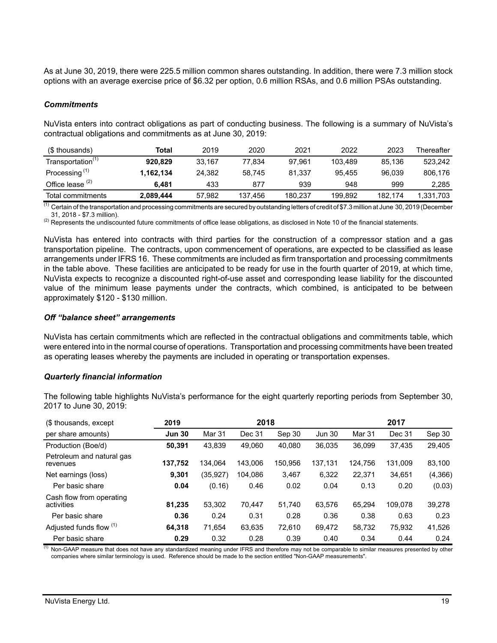As at June 30, 2019, there were 225.5 million common shares outstanding. In addition, there were 7.3 million stock options with an average exercise price of \$6.32 per option, 0.6 million RSAs, and 0.6 million PSAs outstanding.

#### *Commitments*

NuVista enters into contract obligations as part of conducting business. The following is a summary of NuVista's contractual obligations and commitments as at June 30, 2019:

| (\$ thousands)                | Total     | 2019   | 2020    | 2021    | 2022    | 2023    | Thereafter |
|-------------------------------|-----------|--------|---------|---------|---------|---------|------------|
| Transportation <sup>(1)</sup> | 920.829   | 33.167 | 77.834  | 97.961  | 103.489 | 85.136  | 523.242    |
| Processing <sup>(1)</sup>     | 1.162.134 | 24.382 | 58.745  | 81.337  | 95.455  | 96.039  | 806.176    |
| Office lease $(2)$            | 6.481     | 433    | 877     | 939     | 948     | 999     | 2.285      |
| Total commitments             | 2,089,444 | 57,982 | 137.456 | 180.237 | 199.892 | 182.174 | 1,331,703  |

 $^{(1)}$  Certain of the transportation and processing commitments are secured by outstanding letters of credit of \$7.3 million at June 30, 2019 (December 31, 2018 - \$7.3 million).

 $^{(2)}$  Represents the undiscounted future commitments of office lease obligations, as disclosed in Note 10 of the financial statements.

NuVista has entered into contracts with third parties for the construction of a compressor station and a gas transportation pipeline. The contracts, upon commencement of operations, are expected to be classified as lease arrangements under IFRS 16. These commitments are included as firm transportation and processing commitments in the table above. These facilities are anticipated to be ready for use in the fourth quarter of 2019, at which time, NuVista expects to recognize a discounted right-of-use asset and corresponding lease liability for the discounted value of the minimum lease payments under the contracts, which combined, is anticipated to be between approximately \$120 - \$130 million.

#### *Off "balance sheet" arrangements*

NuVista has certain commitments which are reflected in the contractual obligations and commitments table, which were entered into in the normal course of operations. Transportation and processing commitments have been treated as operating leases whereby the payments are included in operating or transportation expenses.

#### *Quarterly financial information*

The following table highlights NuVista's performance for the eight quarterly reporting periods from September 30, 2017 to June 30, 2019:

| (\$ thousands, except)                 | 2019          |          | 2018    |         |               |         | 2017    |         |
|----------------------------------------|---------------|----------|---------|---------|---------------|---------|---------|---------|
| per share amounts)                     | <b>Jun 30</b> | Mar 31   | Dec 31  | Sep 30  | <b>Jun 30</b> | Mar 31  | Dec 31  | Sep 30  |
| Production (Boe/d)                     | 50,391        | 43.839   | 49.060  | 40.080  | 36.035        | 36.099  | 37.435  | 29,405  |
| Petroleum and natural gas<br>revenues  | 137,752       | 134.064  | 143.006 | 150.956 | 137,131       | 124.756 | 131.009 | 83,100  |
| Net earnings (loss)                    | 9,301         | (35,927) | 104.086 | 3,467   | 6,322         | 22,371  | 34,651  | (4,366) |
| Per basic share                        | 0.04          | (0.16)   | 0.46    | 0.02    | 0.04          | 0.13    | 0.20    | (0.03)  |
| Cash flow from operating<br>activities | 81,235        | 53.302   | 70.447  | 51.740  | 63,576        | 65.294  | 109.078 | 39,278  |
| Per basic share                        | 0.36          | 0.24     | 0.31    | 0.28    | 0.36          | 0.38    | 0.63    | 0.23    |
| Adjusted funds flow (1)                | 64,318        | 71.654   | 63,635  | 72.610  | 69.472        | 58,732  | 75,932  | 41,526  |
| Per basic share                        | 0.29          | 0.32     | 0.28    | 0.39    | 0.40          | 0.34    | 0.44    | 0.24    |

 $<sup>(1)</sup>$  Non-GAAP measure that does not have any standardized meaning under IFRS and therefore may not be comparable to similar measures presented by other</sup> companies where similar terminology is used. Reference should be made to the section entitled "Non-GAAP measurements".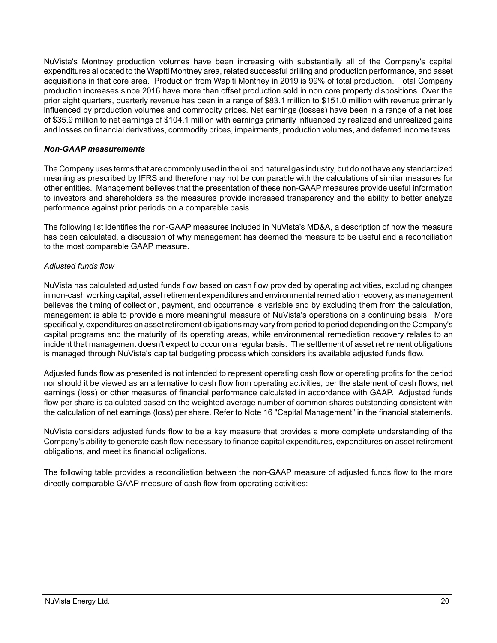NuVista's Montney production volumes have been increasing with substantially all of the Company's capital expenditures allocated to the Wapiti Montney area, related successful drilling and production performance, and asset acquisitions in that core area. Production from Wapiti Montney in 2019 is 99% of total production. Total Company production increases since 2016 have more than offset production sold in non core property dispositions. Over the prior eight quarters, quarterly revenue has been in a range of \$83.1 million to \$151.0 million with revenue primarily influenced by production volumes and commodity prices. Net earnings (losses) have been in a range of a net loss of \$35.9 million to net earnings of \$104.1 million with earnings primarily influenced by realized and unrealized gains and losses on financial derivatives, commodity prices, impairments, production volumes, and deferred income taxes.

# *Non-GAAP measurements*

The Company uses terms that are commonly used in the oil and natural gas industry, but do not have any standardized meaning as prescribed by IFRS and therefore may not be comparable with the calculations of similar measures for other entities. Management believes that the presentation of these non-GAAP measures provide useful information to investors and shareholders as the measures provide increased transparency and the ability to better analyze performance against prior periods on a comparable basis

The following list identifies the non-GAAP measures included in NuVista's MD&A, a description of how the measure has been calculated, a discussion of why management has deemed the measure to be useful and a reconciliation to the most comparable GAAP measure.

# *Adjusted funds flow*

NuVista has calculated adjusted funds flow based on cash flow provided by operating activities, excluding changes in non-cash working capital, asset retirement expenditures and environmental remediation recovery, as management believes the timing of collection, payment, and occurrence is variable and by excluding them from the calculation, management is able to provide a more meaningful measure of NuVista's operations on a continuing basis. More specifically, expenditures on asset retirement obligations may vary from period to period depending on the Company's capital programs and the maturity of its operating areas, while environmental remediation recovery relates to an incident that management doesn't expect to occur on a regular basis. The settlement of asset retirement obligations is managed through NuVista's capital budgeting process which considers its available adjusted funds flow.

Adjusted funds flow as presented is not intended to represent operating cash flow or operating profits for the period nor should it be viewed as an alternative to cash flow from operating activities, per the statement of cash flows, net earnings (loss) or other measures of financial performance calculated in accordance with GAAP. Adjusted funds flow per share is calculated based on the weighted average number of common shares outstanding consistent with the calculation of net earnings (loss) per share. Refer to Note 16 "Capital Management" in the financial statements.

NuVista considers adjusted funds flow to be a key measure that provides a more complete understanding of the Company's ability to generate cash flow necessary to finance capital expenditures, expenditures on asset retirement obligations, and meet its financial obligations.

The following table provides a reconciliation between the non-GAAP measure of adjusted funds flow to the more directly comparable GAAP measure of cash flow from operating activities: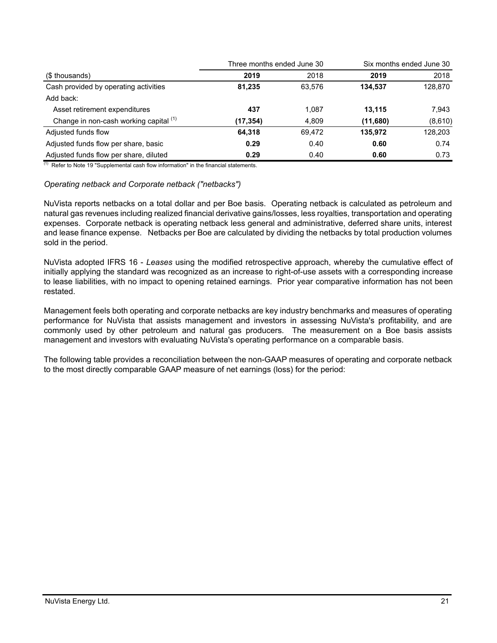|                                        | Three months ended June 30 |        | Six months ended June 30 |         |  |
|----------------------------------------|----------------------------|--------|--------------------------|---------|--|
| (\$ thousands)                         | 2019                       | 2018   | 2019                     | 2018    |  |
| Cash provided by operating activities  | 81.235                     | 63.576 | 134,537                  | 128,870 |  |
| Add back:                              |                            |        |                          |         |  |
| Asset retirement expenditures          | 437                        | 1.087  | 13,115                   | 7.943   |  |
| Change in non-cash working capital (1) | (17,354)                   | 4,809  | (11,680)                 | (8,610) |  |
| Adjusted funds flow                    | 64.318                     | 69.472 | 135,972                  | 128,203 |  |
| Adjusted funds flow per share, basic   | 0.29                       | 0.40   | 0.60                     | 0.74    |  |
| Adjusted funds flow per share, diluted | 0.29                       | 0.40   | 0.60                     | 0.73    |  |

 $(1)$  Refer to Note 19 "Supplemental cash flow information" in the financial statements.

#### *Operating netback and Corporate netback ("netbacks")*

NuVista reports netbacks on a total dollar and per Boe basis. Operating netback is calculated as petroleum and natural gas revenues including realized financial derivative gains/losses, less royalties, transportation and operating expenses. Corporate netback is operating netback less general and administrative, deferred share units, interest and lease finance expense. Netbacks per Boe are calculated by dividing the netbacks by total production volumes sold in the period.

NuVista adopted IFRS 16 - *Leases* using the modified retrospective approach, whereby the cumulative effect of initially applying the standard was recognized as an increase to right-of-use assets with a corresponding increase to lease liabilities, with no impact to opening retained earnings. Prior year comparative information has not been restated.

Management feels both operating and corporate netbacks are key industry benchmarks and measures of operating performance for NuVista that assists management and investors in assessing NuVista's profitability, and are commonly used by other petroleum and natural gas producers. The measurement on a Boe basis assists management and investors with evaluating NuVista's operating performance on a comparable basis.

The following table provides a reconciliation between the non-GAAP measures of operating and corporate netback to the most directly comparable GAAP measure of net earnings (loss) for the period: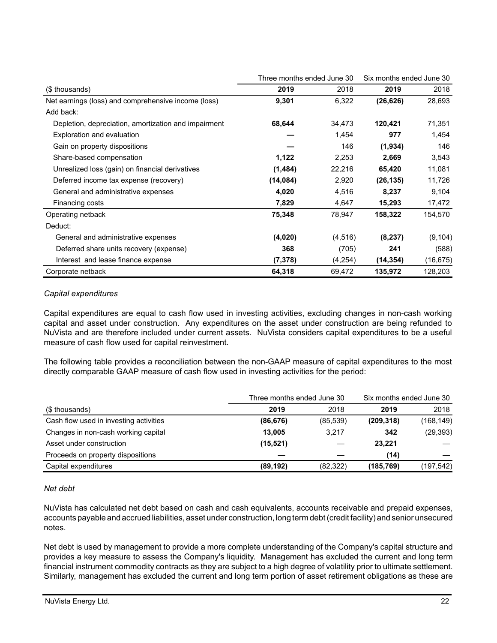|                                                      | Three months ended June 30 |         | Six months ended June 30 |           |
|------------------------------------------------------|----------------------------|---------|--------------------------|-----------|
| (\$ thousands)                                       | 2019                       | 2018    | 2019                     | 2018      |
| Net earnings (loss) and comprehensive income (loss)  | 9,301                      | 6,322   | (26, 626)                | 28,693    |
| Add back:                                            |                            |         |                          |           |
| Depletion, depreciation, amortization and impairment | 68,644                     | 34,473  | 120,421                  | 71,351    |
| <b>Exploration and evaluation</b>                    |                            | 1,454   | 977                      | 1,454     |
| Gain on property dispositions                        |                            | 146     | (1,934)                  | 146       |
| Share-based compensation                             | 1,122                      | 2,253   | 2,669                    | 3,543     |
| Unrealized loss (gain) on financial derivatives      | (1,484)                    | 22,216  | 65,420                   | 11,081    |
| Deferred income tax expense (recovery)               | (14, 084)                  | 2,920   | (26, 135)                | 11,726    |
| General and administrative expenses                  | 4,020                      | 4,516   | 8,237                    | 9,104     |
| Financing costs                                      | 7,829                      | 4,647   | 15,293                   | 17,472    |
| Operating netback                                    | 75,348                     | 78,947  | 158,322                  | 154,570   |
| Deduct:                                              |                            |         |                          |           |
| General and administrative expenses                  | (4,020)                    | (4,516) | (8, 237)                 | (9, 104)  |
| Deferred share units recovery (expense)              | 368                        | (705)   | 241                      | (588)     |
| Interest and lease finance expense                   | (7,378)                    | (4,254) | (14, 354)                | (16, 675) |
| Corporate netback                                    | 64,318                     | 69,472  | 135,972                  | 128,203   |

## *Capital expenditures*

Capital expenditures are equal to cash flow used in investing activities, excluding changes in non-cash working capital and asset under construction. Any expenditures on the asset under construction are being refunded to NuVista and are therefore included under current assets. NuVista considers capital expenditures to be a useful measure of cash flow used for capital reinvestment.

The following table provides a reconciliation between the non-GAAP measure of capital expenditures to the most directly comparable GAAP measure of cash flow used in investing activities for the period:

|                                        | Three months ended June 30 |           | Six months ended June 30 |            |
|----------------------------------------|----------------------------|-----------|--------------------------|------------|
| (\$ thousands)                         | 2019                       | 2018      | 2019                     | 2018       |
| Cash flow used in investing activities | (86, 676)                  | (85, 539) | (209, 318)               | (168, 149) |
| Changes in non-cash working capital    | 13.005                     | 3.217     | 342                      | (29, 393)  |
| Asset under construction               | (15, 521)                  |           | 23,221                   |            |
| Proceeds on property dispositions      |                            |           | (14)                     |            |
| Capital expenditures                   | (89, 192)                  | (82, 322) | (185, 769)               | (197, 542) |

## *Net debt*

NuVista has calculated net debt based on cash and cash equivalents, accounts receivable and prepaid expenses, accounts payable and accrued liabilities, asset under construction, long term debt (credit facility) and senior unsecured notes.

Net debt is used by management to provide a more complete understanding of the Company's capital structure and provides a key measure to assess the Company's liquidity. Management has excluded the current and long term financial instrument commodity contracts as they are subject to a high degree of volatility prior to ultimate settlement. Similarly, management has excluded the current and long term portion of asset retirement obligations as these are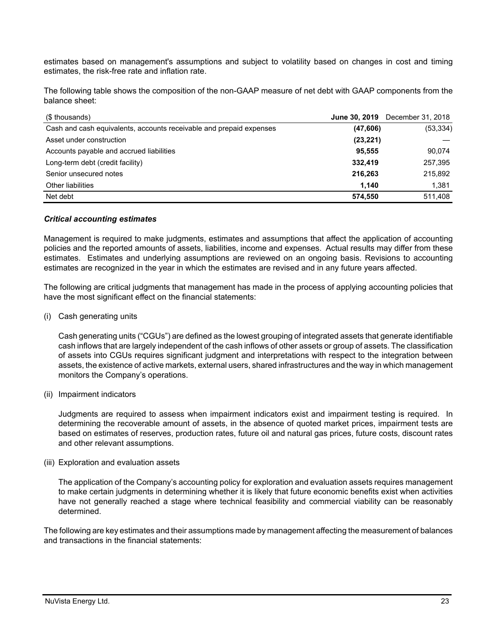estimates based on management's assumptions and subject to volatility based on changes in cost and timing estimates, the risk-free rate and inflation rate.

The following table shows the composition of the non-GAAP measure of net debt with GAAP components from the balance sheet:

| (\$ thousands)                                                      |           | <b>June 30, 2019</b> December 31, 2018 |
|---------------------------------------------------------------------|-----------|----------------------------------------|
| Cash and cash equivalents, accounts receivable and prepaid expenses | (47,606)  | (53, 334)                              |
| Asset under construction                                            | (23, 221) |                                        |
| Accounts payable and accrued liabilities                            | 95.555    | 90,074                                 |
| Long-term debt (credit facility)                                    | 332,419   | 257,395                                |
| Senior unsecured notes                                              | 216,263   | 215,892                                |
| Other liabilities                                                   | 1.140     | 1,381                                  |
| Net debt                                                            | 574,550   | 511,408                                |

## *Critical accounting estimates*

Management is required to make judgments, estimates and assumptions that affect the application of accounting policies and the reported amounts of assets, liabilities, income and expenses. Actual results may differ from these estimates. Estimates and underlying assumptions are reviewed on an ongoing basis. Revisions to accounting estimates are recognized in the year in which the estimates are revised and in any future years affected.

The following are critical judgments that management has made in the process of applying accounting policies that have the most significant effect on the financial statements:

(i) Cash generating units

Cash generating units ("CGUs") are defined as the lowest grouping of integrated assets that generate identifiable cash inflows that are largely independent of the cash inflows of other assets or group of assets. The classification of assets into CGUs requires significant judgment and interpretations with respect to the integration between assets, the existence of active markets, external users, shared infrastructures and the way in which management monitors the Company's operations.

(ii) Impairment indicators

Judgments are required to assess when impairment indicators exist and impairment testing is required. In determining the recoverable amount of assets, in the absence of quoted market prices, impairment tests are based on estimates of reserves, production rates, future oil and natural gas prices, future costs, discount rates and other relevant assumptions.

(iii) Exploration and evaluation assets

The application of the Company's accounting policy for exploration and evaluation assets requires management to make certain judgments in determining whether it is likely that future economic benefits exist when activities have not generally reached a stage where technical feasibility and commercial viability can be reasonably determined.

The following are key estimates and their assumptions made by management affecting the measurement of balances and transactions in the financial statements: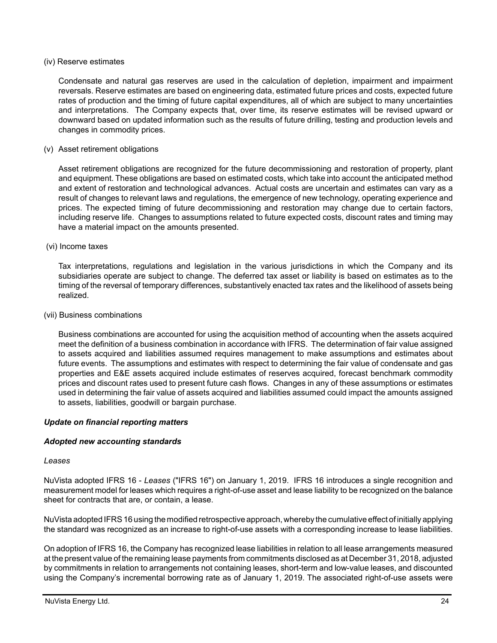#### (iv) Reserve estimates

Condensate and natural gas reserves are used in the calculation of depletion, impairment and impairment reversals. Reserve estimates are based on engineering data, estimated future prices and costs, expected future rates of production and the timing of future capital expenditures, all of which are subject to many uncertainties and interpretations. The Company expects that, over time, its reserve estimates will be revised upward or downward based on updated information such as the results of future drilling, testing and production levels and changes in commodity prices.

#### (v) Asset retirement obligations

Asset retirement obligations are recognized for the future decommissioning and restoration of property, plant and equipment. These obligations are based on estimated costs, which take into account the anticipated method and extent of restoration and technological advances. Actual costs are uncertain and estimates can vary as a result of changes to relevant laws and regulations, the emergence of new technology, operating experience and prices. The expected timing of future decommissioning and restoration may change due to certain factors, including reserve life. Changes to assumptions related to future expected costs, discount rates and timing may have a material impact on the amounts presented.

#### (vi) Income taxes

Tax interpretations, regulations and legislation in the various jurisdictions in which the Company and its subsidiaries operate are subject to change. The deferred tax asset or liability is based on estimates as to the timing of the reversal of temporary differences, substantively enacted tax rates and the likelihood of assets being realized.

#### (vii) Business combinations

Business combinations are accounted for using the acquisition method of accounting when the assets acquired meet the definition of a business combination in accordance with IFRS. The determination of fair value assigned to assets acquired and liabilities assumed requires management to make assumptions and estimates about future events. The assumptions and estimates with respect to determining the fair value of condensate and gas properties and E&E assets acquired include estimates of reserves acquired, forecast benchmark commodity prices and discount rates used to present future cash flows. Changes in any of these assumptions or estimates used in determining the fair value of assets acquired and liabilities assumed could impact the amounts assigned to assets, liabilities, goodwill or bargain purchase.

## *Update on financial reporting matters*

## *Adopted new accounting standards*

#### *Leases*

NuVista adopted IFRS 16 - *Leases* ("IFRS 16") on January 1, 2019. IFRS 16 introduces a single recognition and measurement model for leases which requires a right-of-use asset and lease liability to be recognized on the balance sheet for contracts that are, or contain, a lease.

NuVista adopted IFRS 16 using the modified retrospective approach, whereby the cumulative effect of initially applying the standard was recognized as an increase to right-of-use assets with a corresponding increase to lease liabilities.

On adoption of IFRS 16, the Company has recognized lease liabilities in relation to all lease arrangements measured at the present value of the remaining lease payments from commitments disclosed as at December 31, 2018, adjusted by commitments in relation to arrangements not containing leases, short-term and low-value leases, and discounted using the Company's incremental borrowing rate as of January 1, 2019. The associated right-of-use assets were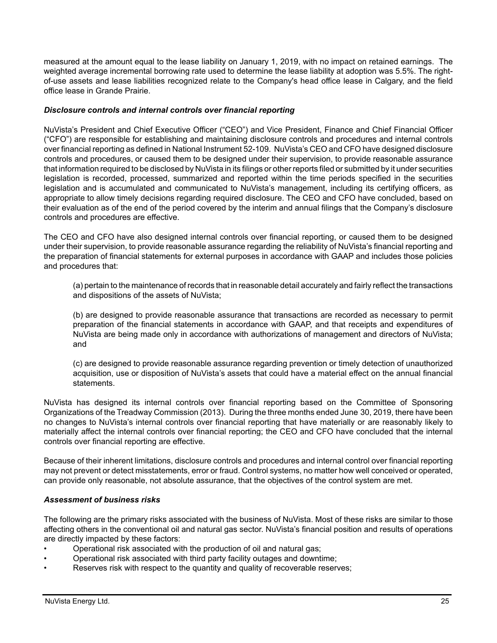measured at the amount equal to the lease liability on January 1, 2019, with no impact on retained earnings. The weighted average incremental borrowing rate used to determine the lease liability at adoption was 5.5%. The rightof-use assets and lease liabilities recognized relate to the Company's head office lease in Calgary, and the field office lease in Grande Prairie.

# *Disclosure controls and internal controls over financial reporting*

NuVista's President and Chief Executive Officer ("CEO") and Vice President, Finance and Chief Financial Officer ("CFO") are responsible for establishing and maintaining disclosure controls and procedures and internal controls over financial reporting as defined in National Instrument 52-109. NuVista's CEO and CFO have designed disclosure controls and procedures, or caused them to be designed under their supervision, to provide reasonable assurance that information required to be disclosed by NuVista in its filings or other reports filed or submitted by it under securities legislation is recorded, processed, summarized and reported within the time periods specified in the securities legislation and is accumulated and communicated to NuVista's management, including its certifying officers, as appropriate to allow timely decisions regarding required disclosure. The CEO and CFO have concluded, based on their evaluation as of the end of the period covered by the interim and annual filings that the Company's disclosure controls and procedures are effective.

The CEO and CFO have also designed internal controls over financial reporting, or caused them to be designed under their supervision, to provide reasonable assurance regarding the reliability of NuVista's financial reporting and the preparation of financial statements for external purposes in accordance with GAAP and includes those policies and procedures that:

(a) pertain to the maintenance of records that in reasonable detail accurately and fairly reflect the transactions and dispositions of the assets of NuVista;

(b) are designed to provide reasonable assurance that transactions are recorded as necessary to permit preparation of the financial statements in accordance with GAAP, and that receipts and expenditures of NuVista are being made only in accordance with authorizations of management and directors of NuVista; and

(c) are designed to provide reasonable assurance regarding prevention or timely detection of unauthorized acquisition, use or disposition of NuVista's assets that could have a material effect on the annual financial statements.

NuVista has designed its internal controls over financial reporting based on the Committee of Sponsoring Organizations of the Treadway Commission (2013). During the three months ended June 30, 2019, there have been no changes to NuVista's internal controls over financial reporting that have materially or are reasonably likely to materially affect the internal controls over financial reporting; the CEO and CFO have concluded that the internal controls over financial reporting are effective.

Because of their inherent limitations, disclosure controls and procedures and internal control over financial reporting may not prevent or detect misstatements, error or fraud. Control systems, no matter how well conceived or operated, can provide only reasonable, not absolute assurance, that the objectives of the control system are met.

## *Assessment of business risks*

The following are the primary risks associated with the business of NuVista. Most of these risks are similar to those affecting others in the conventional oil and natural gas sector. NuVista's financial position and results of operations are directly impacted by these factors:

- Operational risk associated with the production of oil and natural gas;
- Operational risk associated with third party facility outages and downtime;
- Reserves risk with respect to the quantity and quality of recoverable reserves;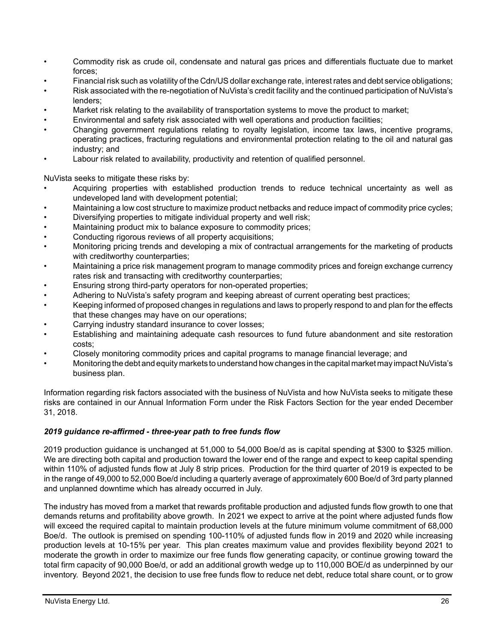- Commodity risk as crude oil, condensate and natural gas prices and differentials fluctuate due to market forces;
- Financial risk such as volatility of the Cdn/US dollar exchange rate, interest rates and debt service obligations;
- Risk associated with the re-negotiation of NuVista's credit facility and the continued participation of NuVista's lenders;
- Market risk relating to the availability of transportation systems to move the product to market;
- Environmental and safety risk associated with well operations and production facilities;
- Changing government regulations relating to royalty legislation, income tax laws, incentive programs, operating practices, fracturing regulations and environmental protection relating to the oil and natural gas industry; and
- Labour risk related to availability, productivity and retention of qualified personnel.

NuVista seeks to mitigate these risks by:

- Acquiring properties with established production trends to reduce technical uncertainty as well as undeveloped land with development potential;
- Maintaining a low cost structure to maximize product netbacks and reduce impact of commodity price cycles;
- Diversifying properties to mitigate individual property and well risk;
- Maintaining product mix to balance exposure to commodity prices;
- Conducting rigorous reviews of all property acquisitions;
- Monitoring pricing trends and developing a mix of contractual arrangements for the marketing of products with creditworthy counterparties;
- Maintaining a price risk management program to manage commodity prices and foreign exchange currency rates risk and transacting with creditworthy counterparties;
- Ensuring strong third-party operators for non-operated properties;
- Adhering to NuVista's safety program and keeping abreast of current operating best practices;
- Keeping informed of proposed changes in regulations and laws to properly respond to and plan for the effects that these changes may have on our operations;
- Carrying industry standard insurance to cover losses;
- Establishing and maintaining adequate cash resources to fund future abandonment and site restoration costs;
- Closely monitoring commodity prices and capital programs to manage financial leverage; and
- Monitoring the debt and equity markets to understand how changes in the capital market may impact NuVista's business plan.

Information regarding risk factors associated with the business of NuVista and how NuVista seeks to mitigate these risks are contained in our Annual Information Form under the Risk Factors Section for the year ended December 31, 2018.

## *2019 guidance re-affirmed - three-year path to free funds flow*

2019 production guidance is unchanged at 51,000 to 54,000 Boe/d as is capital spending at \$300 to \$325 million. We are directing both capital and production toward the lower end of the range and expect to keep capital spending within 110% of adjusted funds flow at July 8 strip prices. Production for the third quarter of 2019 is expected to be in the range of 49,000 to 52,000 Boe/d including a quarterly average of approximately 600 Boe/d of 3rd party planned and unplanned downtime which has already occurred in July.

The industry has moved from a market that rewards profitable production and adjusted funds flow growth to one that demands returns and profitability above growth. In 2021 we expect to arrive at the point where adjusted funds flow will exceed the required capital to maintain production levels at the future minimum volume commitment of 68,000 Boe/d. The outlook is premised on spending 100-110% of adjusted funds flow in 2019 and 2020 while increasing production levels at 10-15% per year. This plan creates maximum value and provides flexibility beyond 2021 to moderate the growth in order to maximize our free funds flow generating capacity, or continue growing toward the total firm capacity of 90,000 Boe/d, or add an additional growth wedge up to 110,000 BOE/d as underpinned by our inventory. Beyond 2021, the decision to use free funds flow to reduce net debt, reduce total share count, or to grow